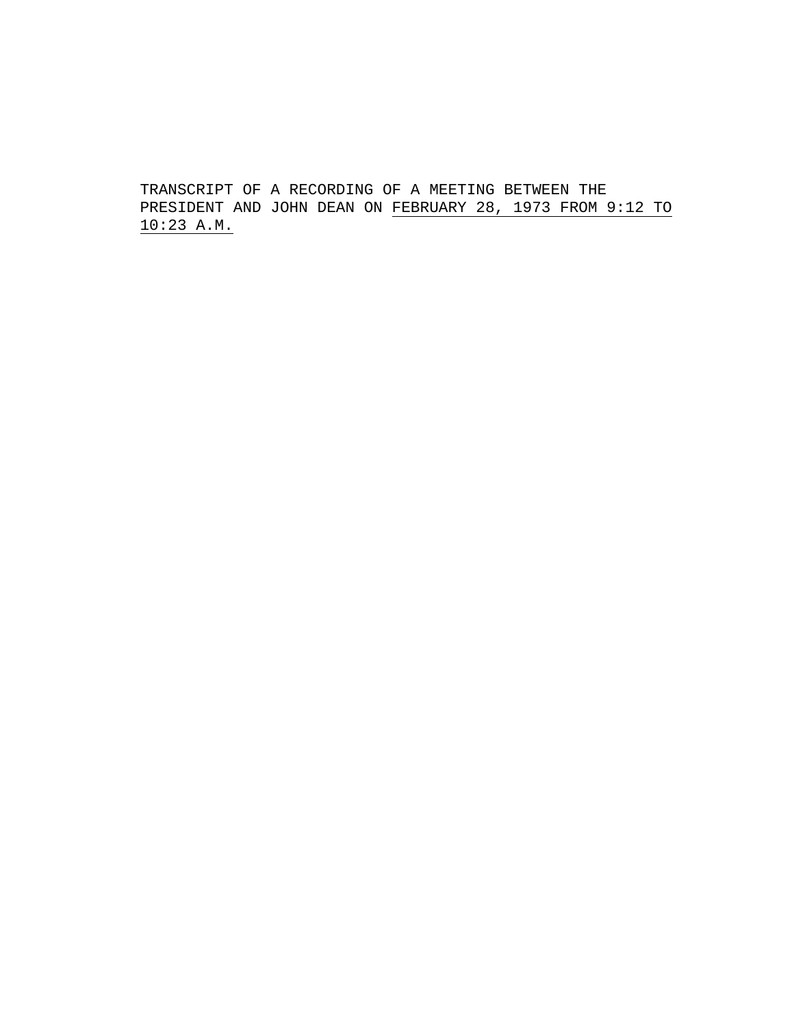TRANSCRIPT OF A RECORDING OF A MEETING BETWEEN THE PRESIDENT AND JOHN DEAN ON FEBRUARY 28, 1973 FROM 9:12 TO 10:23 A.M.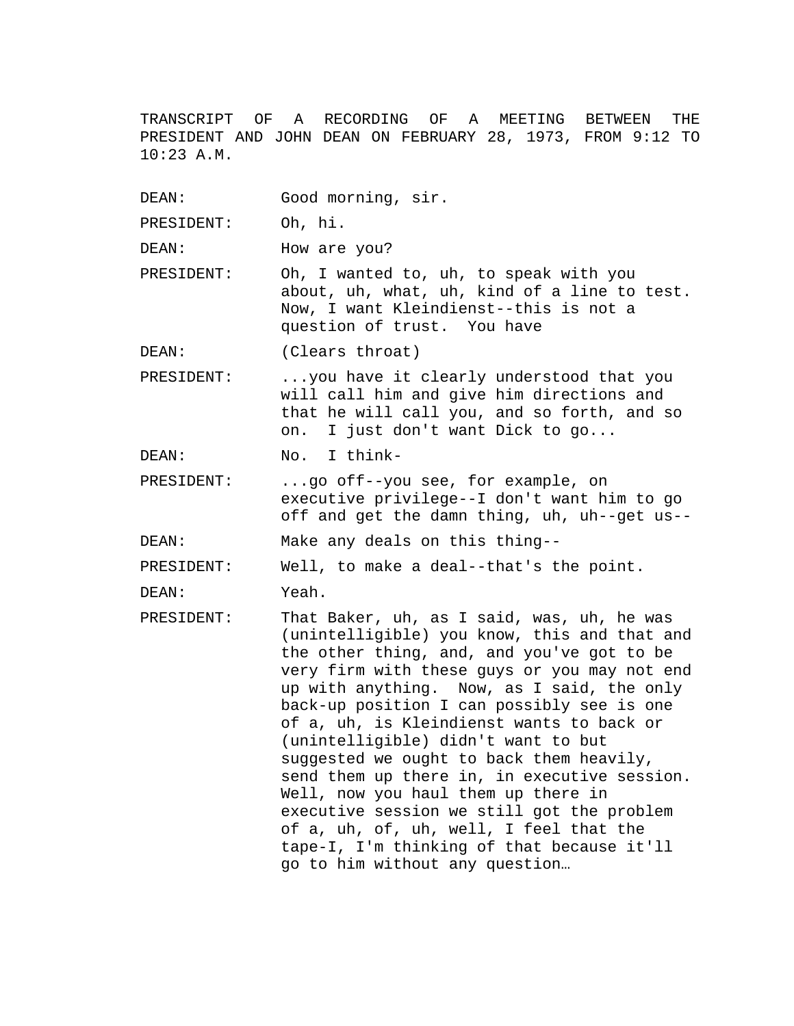TRANSCRIPT OF A RECORDING OF A MEETING BETWEEN THE PRESIDENT AND JOHN DEAN ON FEBRUARY 28, 1973, FROM 9:12 TO 10:23 A.M.

DEAN: Good morning, sir.

PRESIDENT: Oh, hi.

DEAN: How are you?

PRESIDENT: Oh, I wanted to, uh, to speak with you about, uh, what, uh, kind of a line to test. Now, I want Kleindienst--this is not a question of trust. You have

DEAN: (Clears throat)

PRESIDENT: ...you have it clearly understood that you will call him and give him directions and that he will call you, and so forth, and so on. I just don't want Dick to go...

DEAN: No. I think-

PRESIDENT: ...go off--you see, for example, on executive privilege--I don't want him to go off and get the damn thing, uh, uh--get us--

DEAN: Make any deals on this thing--

PRESIDENT: Well, to make a deal--that's the point.

DEAN: Yeah.

PRESIDENT: That Baker, uh, as I said, was, uh, he was (unintelligible) you know, this and that and the other thing, and, and you've got to be very firm with these guys or you may not end up with anything. Now, as I said, the only back-up position I can possibly see is one of a, uh, is Kleindienst wants to back or (unintelligible) didn't want to but suggested we ought to back them heavily, send them up there in, in executive session. Well, now you haul them up there in executive session we still got the problem of a, uh, of, uh, well, I feel that the tape-I, I'm thinking of that because it'll go to him without any question…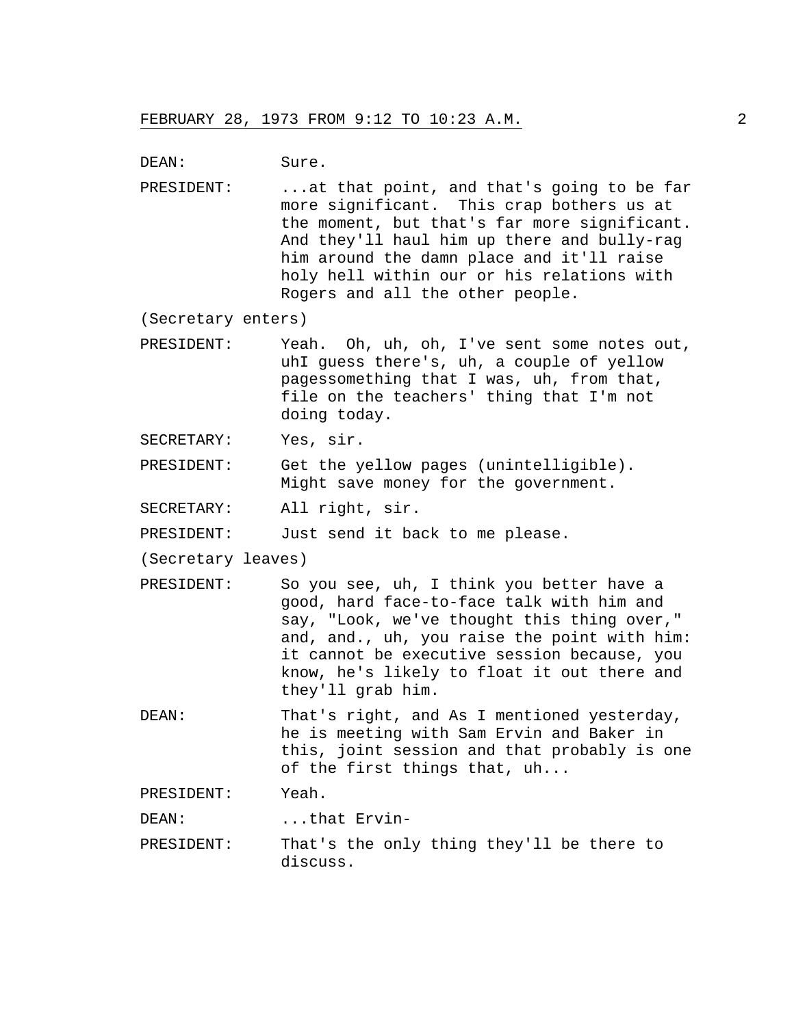DEAN: Sure.

PRESIDENT: ...at that point, and that's going to be far more significant. This crap bothers us at the moment, but that's far more significant. And they'll haul him up there and bully-rag him around the damn place and it'll raise holy hell within our or his relations with Rogers and all the other people.

(Secretary enters)

- PRESIDENT: Yeah. Oh, uh, oh, I've sent some notes out, uhI guess there's, uh, a couple of yellow pagessomething that I was, uh, from that, file on the teachers' thing that I'm not doing today.
- SECRETARY: Yes, sir.
- PRESIDENT: Get the yellow pages (unintelligible). Might save money for the government.
- SECRETARY: All right, sir.

PRESIDENT: Just send it back to me please.

(Secretary leaves)

- PRESIDENT: So you see, uh, I think you better have a good, hard face-to-face talk with him and say, "Look, we've thought this thing over," and, and., uh, you raise the point with him: it cannot be executive session because, you know, he's likely to float it out there and they'll grab him.
- DEAN: That's right, and As I mentioned yesterday, he is meeting with Sam Ervin and Baker in this, joint session and that probably is one of the first things that, uh...

PRESIDENT: Yeah.

DEAN: ...that Ervin-

PRESIDENT: That's the only thing they'll be there to discuss.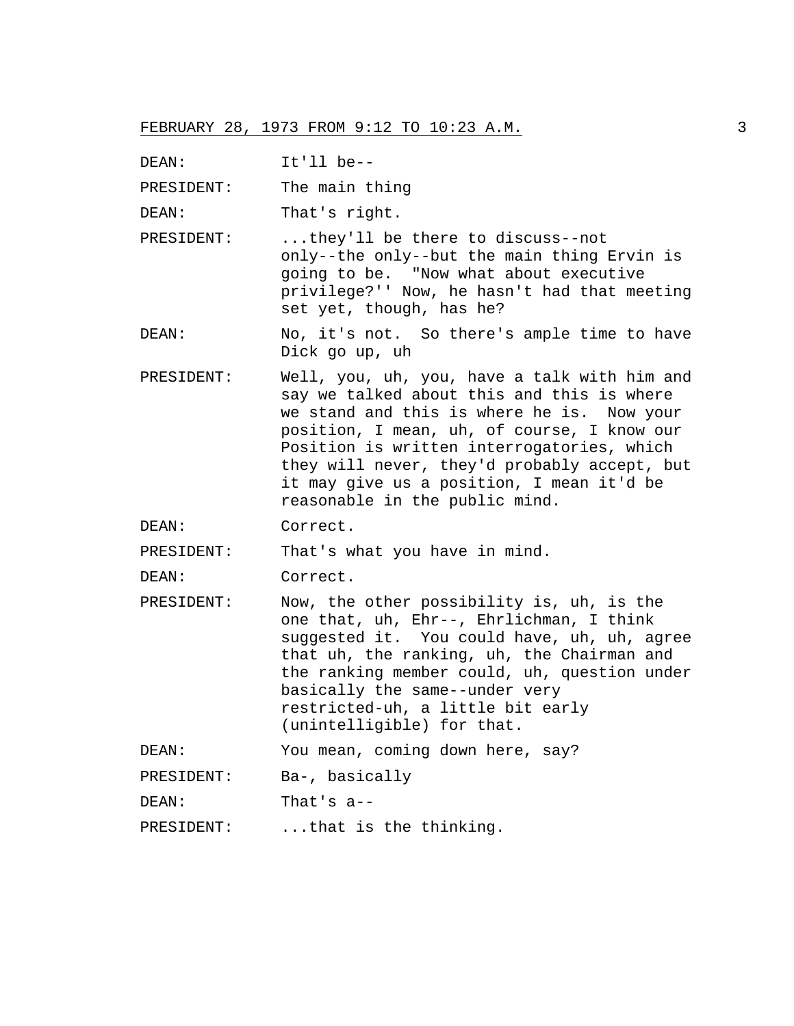DEAN: It'll be--

PRESIDENT: The main thing

DEAN: That's right.

PRESIDENT: ...they'll be there to discuss--not only--the only--but the main thing Ervin is going to be. "Now what about executive privilege?'' Now, he hasn't had that meeting set yet, though, has he?

DEAN: No, it's not. So there's ample time to have Dick go up, uh

- PRESIDENT: Well, you, uh, you, have a talk with him and say we talked about this and this is where we stand and this is where he is. Now your position, I mean, uh, of course, I know our Position is written interrogatories, which they will never, they'd probably accept, but it may give us a position, I mean it'd be reasonable in the public mind.
- DEAN: Correct.

PRESIDENT: That's what you have in mind.

DEAN: Correct.

PRESIDENT: Now, the other possibility is, uh, is the one that, uh, Ehr--, Ehrlichman, I think suggested it. You could have, uh, uh, agree that uh, the ranking, uh, the Chairman and the ranking member could, uh, question under basically the same--under very restricted-uh, a little bit early (unintelligible) for that.

DEAN: You mean, coming down here, say?

DEAN: That's a--

PRESIDENT: ...that is the thinking.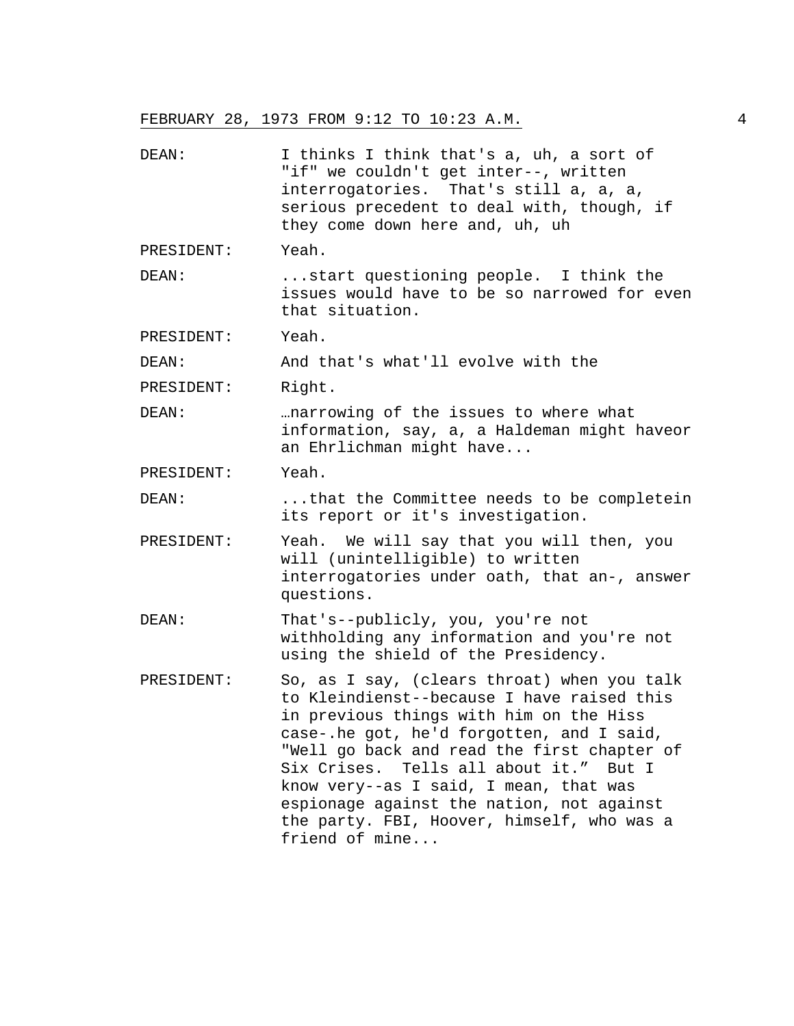| DEAN:      | I thinks I think that's a, uh, a sort of<br>"if" we couldn't get inter--, written<br>interrogatories. That's still a, a, a,<br>serious precedent to deal with, though, if<br>they come down here and, uh, uh                                                                                                                                                                                                                         |
|------------|--------------------------------------------------------------------------------------------------------------------------------------------------------------------------------------------------------------------------------------------------------------------------------------------------------------------------------------------------------------------------------------------------------------------------------------|
| PRESIDENT: | Yeah.                                                                                                                                                                                                                                                                                                                                                                                                                                |
| DEAN:      | start questioning people. I think the<br>issues would have to be so narrowed for even<br>that situation.                                                                                                                                                                                                                                                                                                                             |
| PRESIDENT: | Yeah.                                                                                                                                                                                                                                                                                                                                                                                                                                |
| DEAN:      | And that's what'll evolve with the                                                                                                                                                                                                                                                                                                                                                                                                   |
| PRESIDENT: | Right.                                                                                                                                                                                                                                                                                                                                                                                                                               |
| DEAN:      | narrowing of the issues to where what<br>information, say, a, a Haldeman might haveor<br>an Ehrlichman might have                                                                                                                                                                                                                                                                                                                    |
| PRESIDENT: | Yeah.                                                                                                                                                                                                                                                                                                                                                                                                                                |
| DEAN:      | that the Committee needs to be completein<br>its report or it's investigation.                                                                                                                                                                                                                                                                                                                                                       |
| PRESIDENT: | Yeah. We will say that you will then, you<br>will (unintelligible) to written<br>interrogatories under oath, that an-, answer<br>questions.                                                                                                                                                                                                                                                                                          |
| DEAN:      | That's--publicly, you, you're not<br>withholding any information and you're not<br>using the shield of the Presidency.                                                                                                                                                                                                                                                                                                               |
| PRESIDENT: | So, as I say, (clears throat) when you talk<br>to Kleindienst--because I have raised this<br>in previous things with him on the Hiss<br>case-.he got, he'd forgotten, and I said,<br>"Well go back and read the first chapter of<br>Six Crises. Tells all about it."<br>But I<br>know very--as I said, I mean, that was<br>espionage against the nation, not against<br>the party. FBI, Hoover, himself, who was a<br>friend of mine |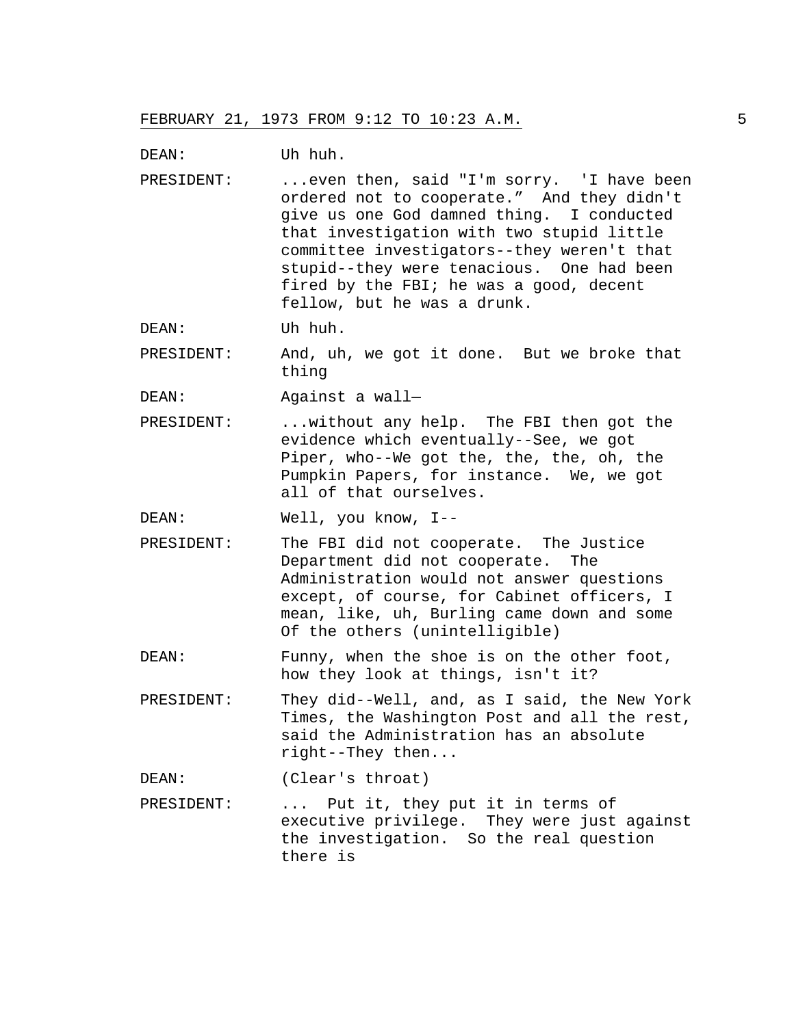DEAN: Uh huh.

PRESIDENT: ...even then, said "I'm sorry. 'I have been ordered not to cooperate." And they didn't give us one God damned thing. I conducted that investigation with two stupid little committee investigators--they weren't that stupid--they were tenacious. One had been fired by the FBI; he was a good, decent fellow, but he was a drunk.

DEAN: Uh huh.

PRESIDENT: And, uh, we got it done. But we broke that thing

DEAN: Against a wall—

PRESIDENT: ...without any help. The FBI then got the evidence which eventually--See, we got Piper, who--We got the, the, the, oh, the Pumpkin Papers, for instance. We, we got all of that ourselves.

DEAN: Well, you know, I--

- PRESIDENT: The FBI did not cooperate. The Justice Department did not cooperate. The Administration would not answer questions except, of course, for Cabinet officers, I mean, like, uh, Burling came down and some Of the others (unintelligible)
- DEAN: Funny, when the shoe is on the other foot, how they look at things, isn't it?
- PRESIDENT: They did--Well, and, as I said, the New York Times, the Washington Post and all the rest, said the Administration has an absolute right--They then...

DEAN: (Clear's throat)

PRESIDENT: ... Put it, they put it in terms of executive privilege. They were just against the investigation. So the real question there is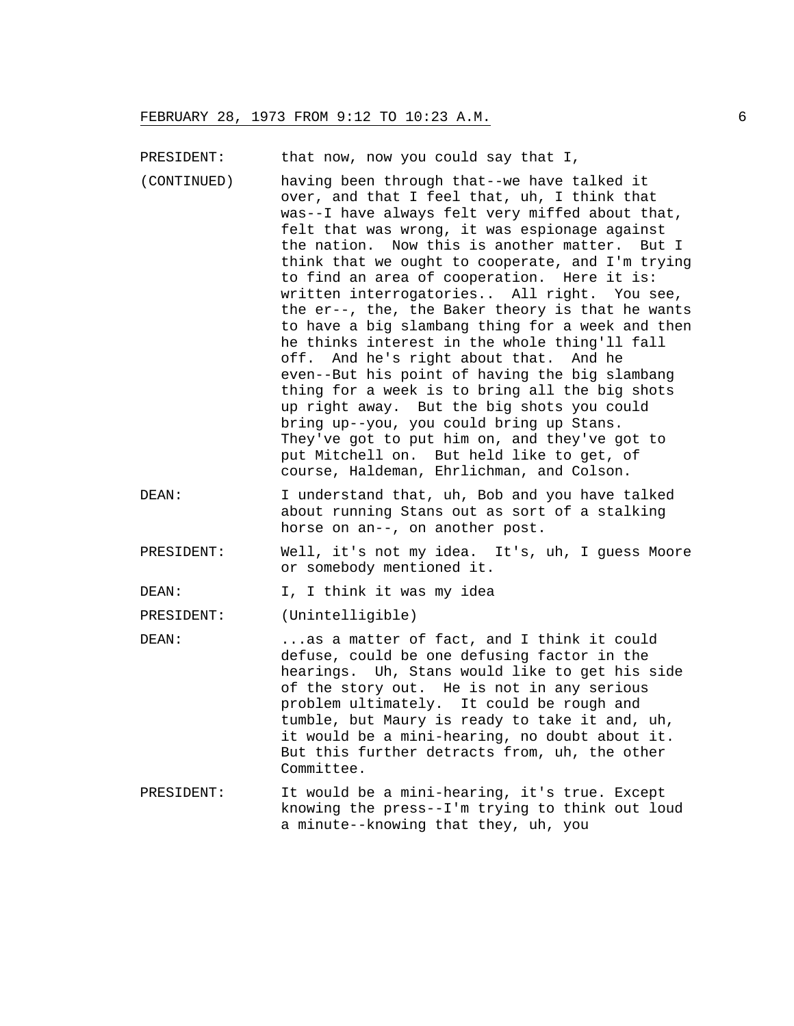PRESIDENT: that now, now you could say that I,

- (CONTINUED) having been through that--we have talked it over, and that I feel that, uh, I think that was--I have always felt very miffed about that, felt that was wrong, it was espionage against the nation. Now this is another matter. But I think that we ought to cooperate, and I'm trying to find an area of cooperation. Here it is: written interrogatories.. All right. You see, the er--, the, the Baker theory is that he wants to have a big slambang thing for a week and then he thinks interest in the whole thing'll fall off. And he's right about that. And he even--But his point of having the big slambang thing for a week is to bring all the big shots up right away. But the big shots you could bring up--you, you could bring up Stans. They've got to put him on, and they've got to put Mitchell on. But held like to get, of course, Haldeman, Ehrlichman, and Colson.
- DEAN: I understand that, uh, Bob and you have talked about running Stans out as sort of a stalking horse on an--, on another post.
- PRESIDENT: Well, it's not my idea. It's, uh, I guess Moore or somebody mentioned it.

DEAN: I, I think it was my idea

PRESIDENT: (Unintelligible)

- DEAN: ...as a matter of fact, and I think it could defuse, could be one defusing factor in the hearings. Uh, Stans would like to get his side of the story out. He is not in any serious problem ultimately. It could be rough and tumble, but Maury is ready to take it and, uh, it would be a mini-hearing, no doubt about it. But this further detracts from, uh, the other Committee.
- PRESIDENT: It would be a mini-hearing, it's true. Except knowing the press--I'm trying to think out loud a minute--knowing that they, uh, you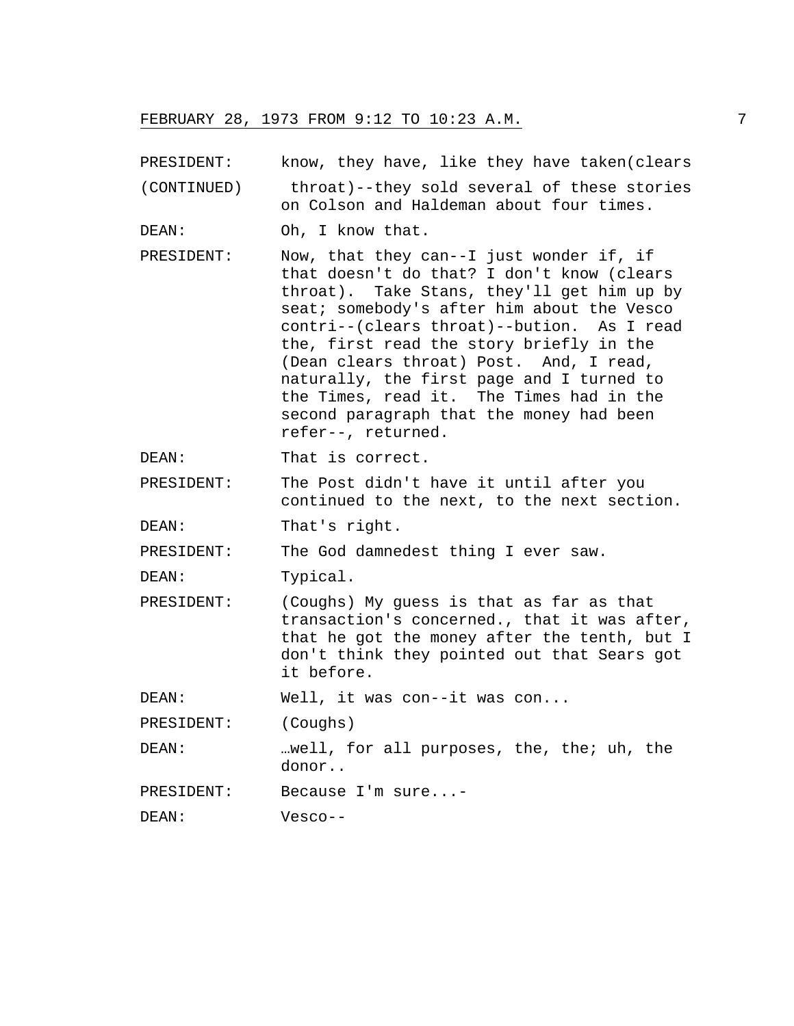PRESIDENT: know, they have, like they have taken(clears

(CONTINUED) throat)--they sold several of these stories on Colson and Haldeman about four times.

- DEAN: Oh, I know that.
- PRESIDENT: Now, that they can--I just wonder if, if that doesn't do that? I don't know (clears throat). Take Stans, they'll get him up by seat; somebody's after him about the Vesco contri--(clears throat)--bution. As I read the, first read the story briefly in the (Dean clears throat) Post. And, I read, naturally, the first page and I turned to the Times, read it. The Times had in the second paragraph that the money had been refer--, returned.
- DEAN: That is correct.
- PRESIDENT: The Post didn't have it until after you continued to the next, to the next section.
- DEAN: That's right.

PRESIDENT: The God damnedest thing I ever saw.

DEAN: Typical.

PRESIDENT: (Coughs) My guess is that as far as that transaction's concerned., that it was after, that he got the money after the tenth, but I don't think they pointed out that Sears got it before.

DEAN: Well, it was con--it was con...

PRESIDENT: (Coughs)

DEAN: …well, for all purposes, the, the; uh, the donor..

PRESIDENT: Because I'm sure...-

DEAN: Vesco--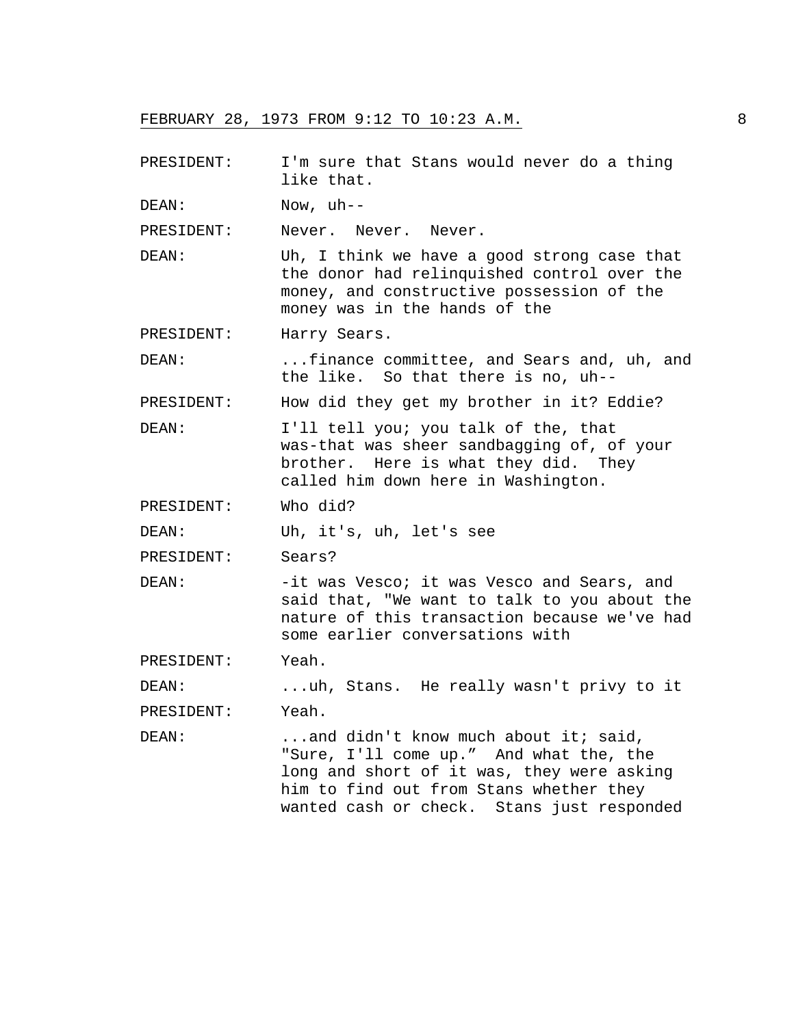- PRESIDENT: I'm sure that Stans would never do a thing like that.
- DEAN: Now, uh--

PRESIDENT: Never. Never. Never.

- DEAN: Uh, I think we have a good strong case that the donor had relinquished control over the money, and constructive possession of the money was in the hands of the
- PRESIDENT: Harry Sears.

DEAN: ...finance committee, and Sears and, uh, and the like. So that there is no, uh--

PRESIDENT: How did they get my brother in it? Eddie?

DEAN: I'll tell you; you talk of the, that was-that was sheer sandbagging of, of your brother. Here is what they did. They called him down here in Washington.

PRESIDENT: Who did?

DEAN: Uh, it's, uh, let's see

PRESIDENT: Sears?

DEAN: -it was Vesco; it was Vesco and Sears, and said that, "We want to talk to you about the nature of this transaction because we've had some earlier conversations with

PRESIDENT: Yeah.

DEAN: ...uh, Stans. He really wasn't privy to it PRESIDENT: Yeah.

DEAN: ...and didn't know much about it; said, "Sure, I'll come up." And what the, the long and short of it was, they were asking him to find out from Stans whether they wanted cash or check. Stans just responded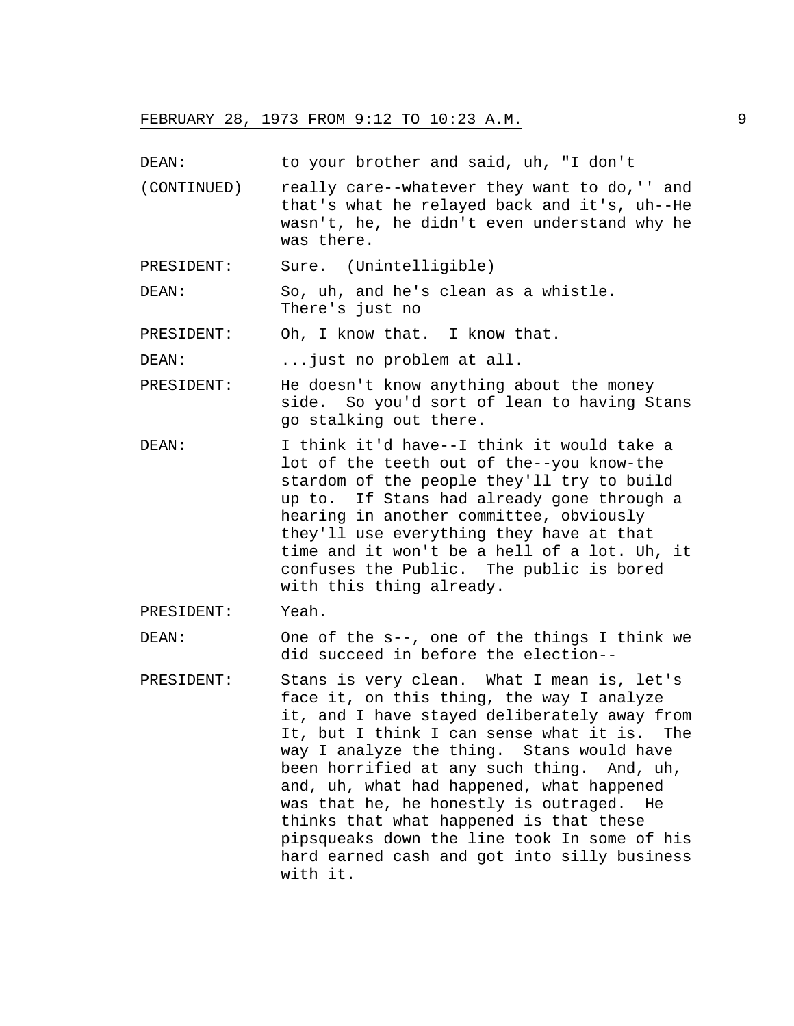DEAN: to your brother and said, uh, "I don't

- (CONTINUED) really care--whatever they want to do,'' and that's what he relayed back and it's, uh--He wasn't, he, he didn't even understand why he was there.
- PRESIDENT: Sure. (Unintelligible)
- DEAN: So, uh, and he's clean as a whistle. There's just no
- PRESIDENT: Oh, I know that. I know that.

DEAN: ...just no problem at all.

- PRESIDENT: He doesn't know anything about the money side. So you'd sort of lean to having Stans go stalking out there.
- DEAN: I think it'd have--I think it would take a lot of the teeth out of the--you know-the stardom of the people they'll try to build up to. If Stans had already gone through a hearing in another committee, obviously they'll use everything they have at that time and it won't be a hell of a lot. Uh, it confuses the Public. The public is bored with this thing already.

PRESIDENT: Yeah.

DEAN: One of the s--, one of the things I think we did succeed in before the election--

PRESIDENT: Stans is very clean. What I mean is, let's face it, on this thing, the way I analyze it, and I have stayed deliberately away from It, but I think I can sense what it is. The way I analyze the thing. Stans would have been horrified at any such thing. And, uh, and, uh, what had happened, what happened was that he, he honestly is outraged. He thinks that what happened is that these pipsqueaks down the line took In some of his hard earned cash and got into silly business with it.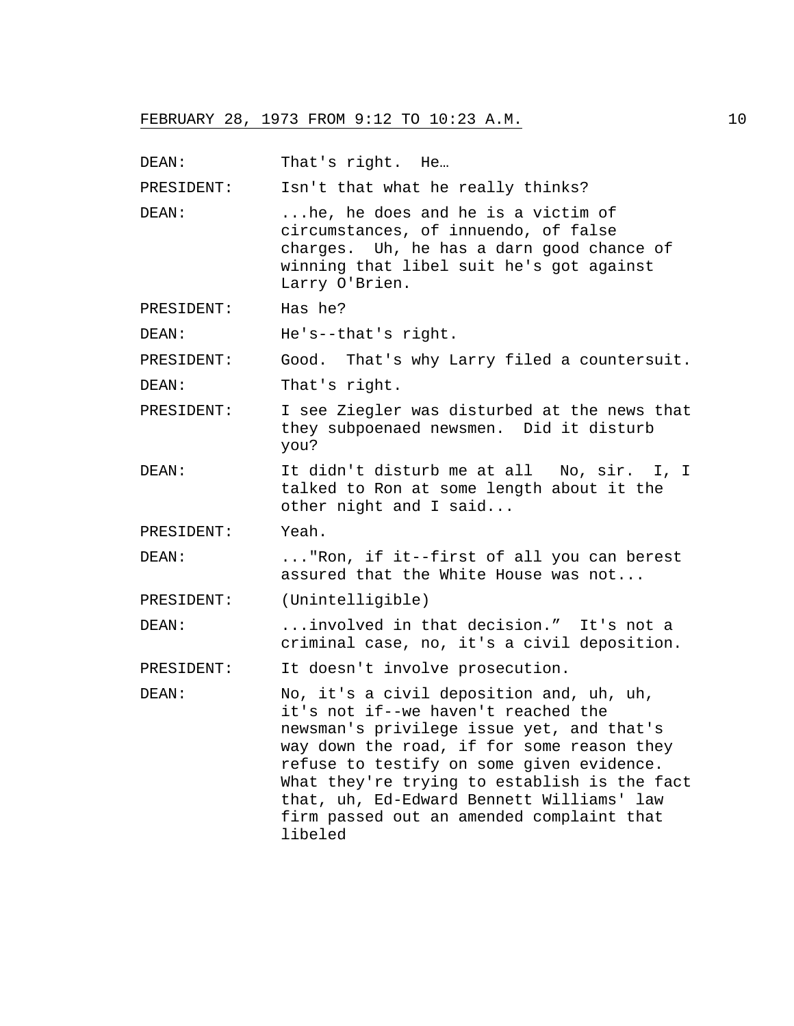DEAN: That's right. He...

PRESIDENT: Isn't that what he really thinks?

DEAN: ...he, he does and he is a victim of circumstances, of innuendo, of false charges. Uh, he has a darn good chance of winning that libel suit he's got against Larry O'Brien.

PRESIDENT: Has he?

DEAN: He's--that's right.

PRESIDENT: Good. That's why Larry filed a countersuit.

DEAN: That's right.

- PRESIDENT: I see Ziegler was disturbed at the news that they subpoenaed newsmen. Did it disturb you?
- DEAN: It didn't disturb me at all No, sir. I, I talked to Ron at some length about it the other night and I said...

PRESIDENT: Yeah.

DEAN: ..."Ron, if it--first of all you can berest assured that the White House was not...

PRESIDENT: (Unintelligible)

DEAN: ...involved in that decision." It's not a criminal case, no, it's a civil deposition.

PRESIDENT: It doesn't involve prosecution.

DEAN: No, it's a civil deposition and, uh, uh, it's not if--we haven't reached the newsman's privilege issue yet, and that's way down the road, if for some reason they refuse to testify on some given evidence. What they're trying to establish is the fact that, uh, Ed-Edward Bennett Williams' law firm passed out an amended complaint that libeled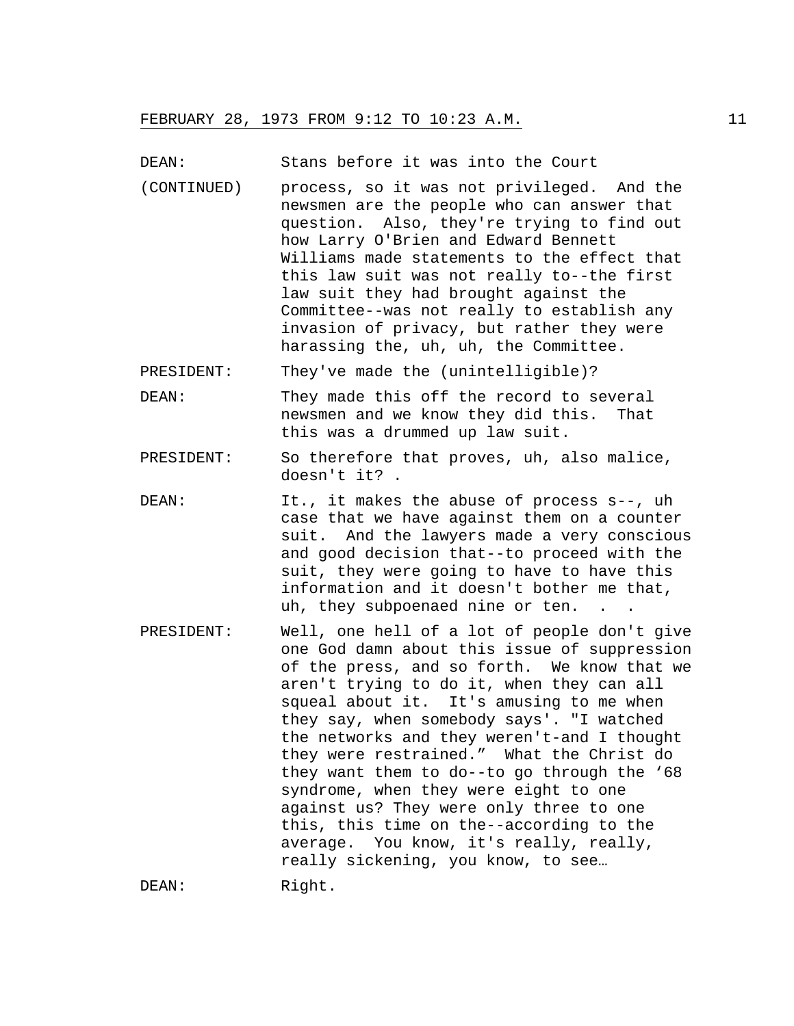DEAN: Stans before it was into the Court

(CONTINUED) process, so it was not privileged. And the newsmen are the people who can answer that question. Also, they're trying to find out how Larry O'Brien and Edward Bennett Williams made statements to the effect that this law suit was not really to--the first law suit they had brought against the Committee--was not really to establish any invasion of privacy, but rather they were harassing the, uh, uh, the Committee.

PRESIDENT: They've made the (unintelligible)?

- DEAN: They made this off the record to several newsmen and we know they did this. That this was a drummed up law suit.
- PRESIDENT: So therefore that proves, uh, also malice, doesn't it? .
- DEAN: It., it makes the abuse of process s--, uh case that we have against them on a counter suit. And the lawyers made a very conscious and good decision that--to proceed with the suit, they were going to have to have this information and it doesn't bother me that, uh, they subpoenaed nine or ten. .
- PRESIDENT: Well, one hell of a lot of people don't give one God damn about this issue of suppression of the press, and so forth. We know that we aren't trying to do it, when they can all squeal about it. It's amusing to me when they say, when somebody says'. "I watched the networks and they weren't-and I thought they were restrained." What the Christ do they want them to do--to go through the '68 syndrome, when they were eight to one against us? They were only three to one this, this time on the--according to the average. You know, it's really, really, really sickening, you know, to see…

DEAN: Right.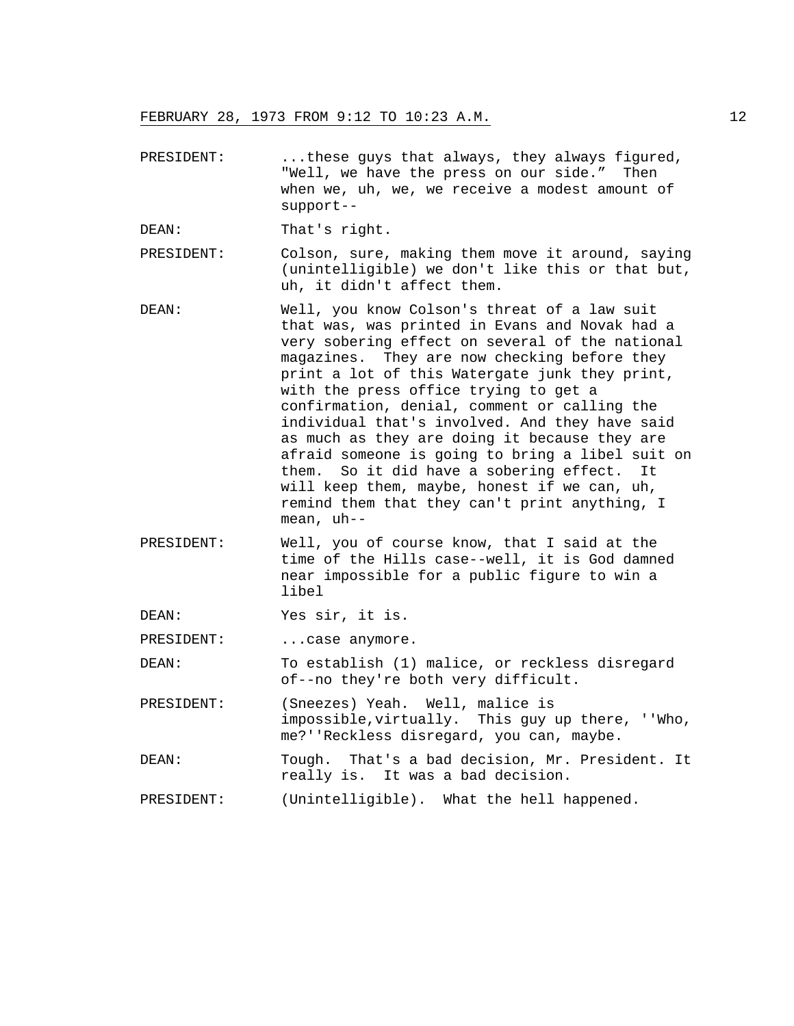- PRESIDENT: ...these guys that always, they always figured, "Well, we have the press on our side." Then when we, uh, we, we receive a modest amount of support--
- DEAN: That's right.
- PRESIDENT: Colson, sure, making them move it around, saying (unintelligible) we don't like this or that but, uh, it didn't affect them.
- DEAN: Well, you know Colson's threat of a law suit that was, was printed in Evans and Novak had a very sobering effect on several of the national magazines. They are now checking before they print a lot of this Watergate junk they print, with the press office trying to get a confirmation, denial, comment or calling the individual that's involved. And they have said as much as they are doing it because they are afraid someone is going to bring a libel suit on them. So it did have a sobering effect. It will keep them, maybe, honest if we can, uh, remind them that they can't print anything, I mean, uh--
- PRESIDENT: Well, you of course know, that I said at the time of the Hills case--well, it is God damned near impossible for a public figure to win a libel

DEAN: Yes sir, it is.

PRESIDENT: ... case anymore.

DEAN: To establish (1) malice, or reckless disregard of--no they're both very difficult.

PRESIDENT: (Sneezes) Yeah. Well, malice is impossible,virtually. This guy up there, ''Who, me?''Reckless disregard, you can, maybe.

DEAN: Tough. That's a bad decision, Mr. President. It really is. It was a bad decision.

PRESIDENT: (Unintelligible). What the hell happened.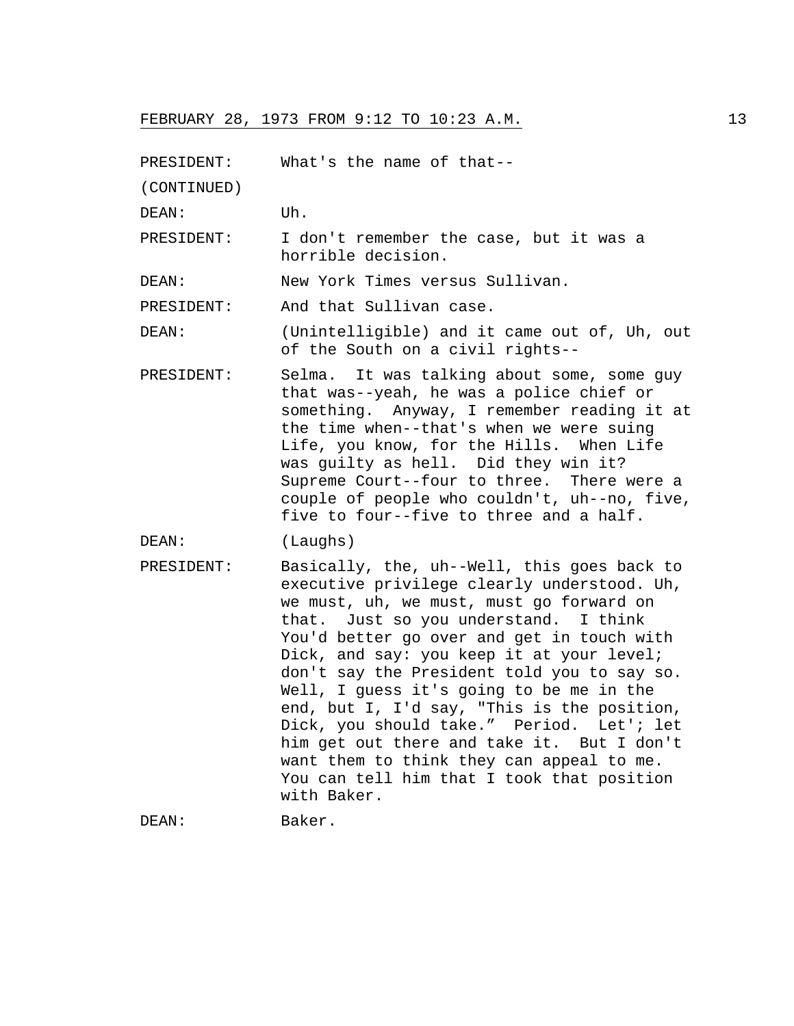PRESIDENT: What's the name of that-- (CONTINUED) DEAN: Uh. PRESIDENT: I don't remember the case, but it was a horrible decision. DEAN: New York Times versus Sullivan. PRESIDENT: And that Sullivan case. DEAN: (Unintelligible) and it came out of, Uh, out of the South on a civil rights-- PRESIDENT: Selma. It was talking about some, some guy that was--yeah, he was a police chief or something. Anyway, I remember reading it at the time when--that's when we were suing Life, you know, for the Hills. When Life was guilty as hell. Did they win it? Supreme Court--four to three. There were a couple of people who couldn't, uh--no, five, five to four--five to three and a half. DEAN: (Laughs) PRESIDENT: Basically, the, uh--Well, this goes back to executive privilege clearly understood. Uh, we must, uh, we must, must go forward on that. Just so you understand. I think You'd better go over and get in touch with Dick, and say: you keep it at your level; don't say the President told you to say so. Well, I guess it's going to be me in the end, but I, I'd say, "This is the position, Dick, you should take." Period. Let'; let him get out there and take it. But I don't want them to think they can appeal to me. You can tell him that I took that position with Baker.

DEAN: Baker.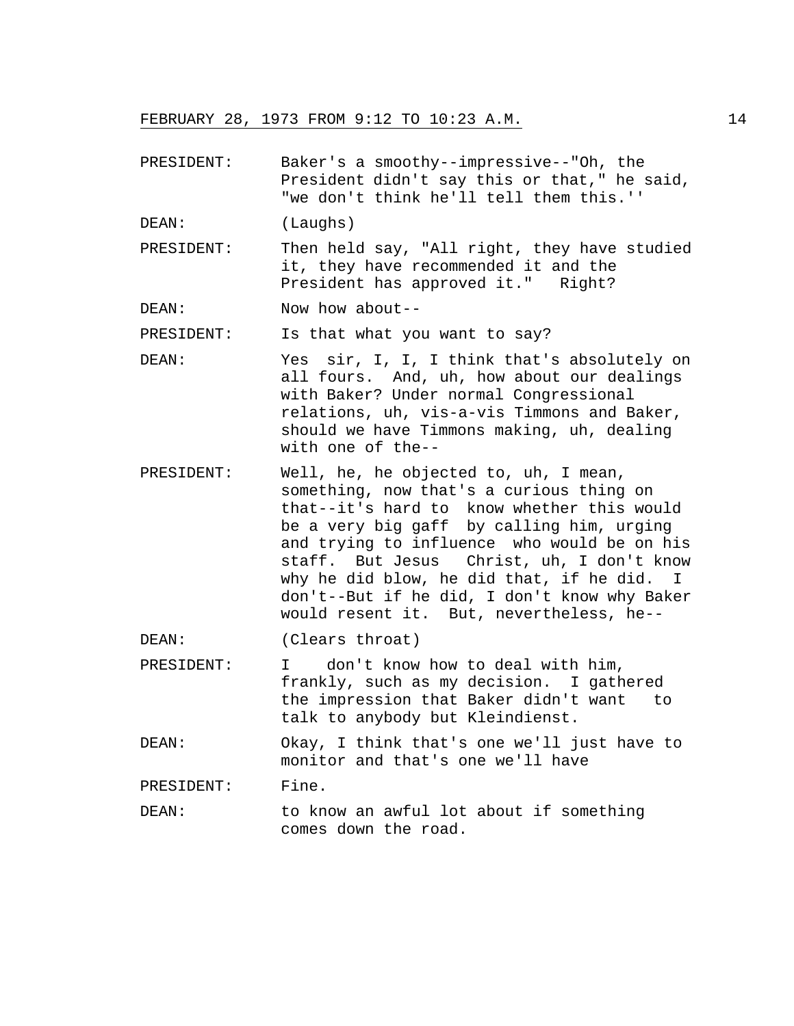PRESIDENT: Baker's a smoothy--impressive--"Oh, the President didn't say this or that," he said, "we don't think he'll tell them this.''

DEAN: (Laughs)

PRESIDENT: Then held say, "All right, they have studied it, they have recommended it and the President has approved it." Right?

DEAN: Now how about--

PRESIDENT: Is that what you want to say?

- DEAN: Yes sir, I, I, I think that's absolutely on all fours. And, uh, how about our dealings with Baker? Under normal Congressional relations, uh, vis-a-vis Timmons and Baker, should we have Timmons making, uh, dealing with one of the--
- PRESIDENT: Well, he, he objected to, uh, I mean, something, now that's a curious thing on that--it's hard to know whether this would be a very big gaff by calling him, urging and trying to influence who would be on his staff. But Jesus Christ, uh, I don't know why he did blow, he did that, if he did. I don't--But if he did, I don't know why Baker would resent it. But, nevertheless, he--

DEAN: (Clears throat)

PRESIDENT: I don't know how to deal with him, frankly, such as my decision. I gathered the impression that Baker didn't want to talk to anybody but Kleindienst.

DEAN: Okay, I think that's one we'll just have to monitor and that's one we'll have

PRESIDENT: Fine.

DEAN: to know an awful lot about if something comes down the road.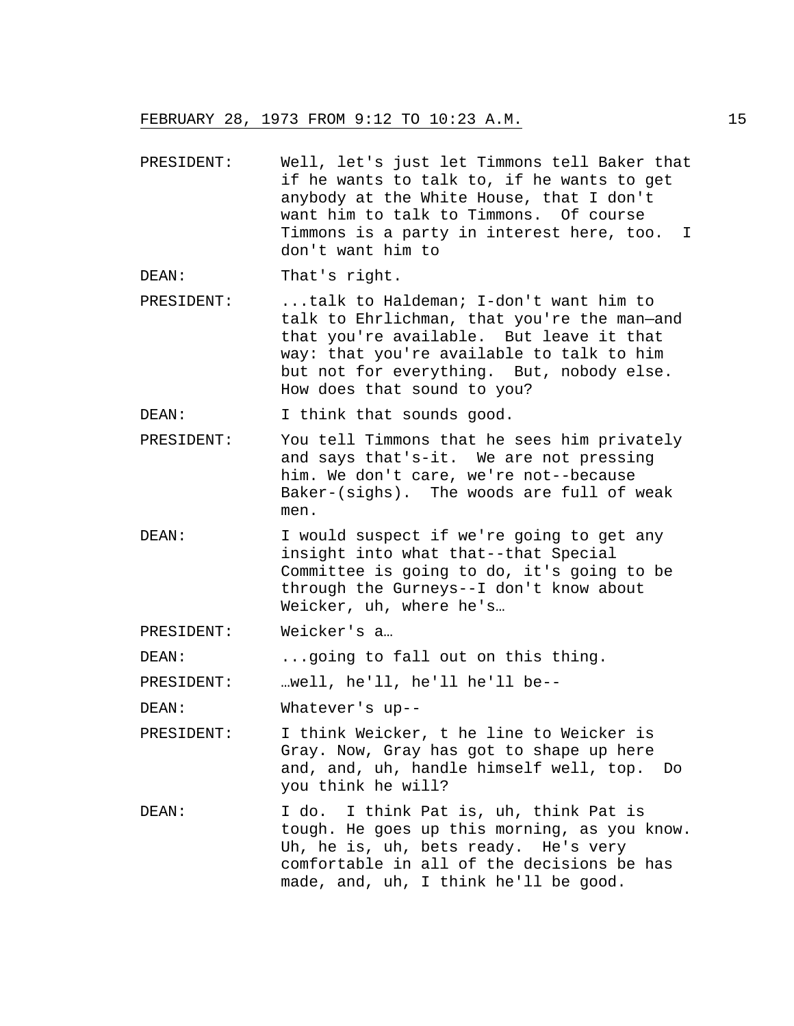PRESIDENT: Well, let's just let Timmons tell Baker that if he wants to talk to, if he wants to get anybody at the White House, that I don't want him to talk to Timmons. Of course Timmons is a party in interest here, too. I don't want him to

DEAN: That's right.

PRESIDENT: ...talk to Haldeman; I-don't want him to talk to Ehrlichman, that you're the man—and that you're available. But leave it that way: that you're available to talk to him but not for everything. But, nobody else. How does that sound to you?

DEAN: I think that sounds good.

- PRESIDENT: You tell Timmons that he sees him privately and says that's-it. We are not pressing him. We don't care, we're not--because Baker-(sighs). The woods are full of weak men.
- DEAN: I would suspect if we're going to get any insight into what that--that Special Committee is going to do, it's going to be through the Gurneys--I don't know about Weicker, uh, where he's…
- PRESIDENT: Weicker's a…

DEAN: ...going to fall out on this thing.

PRESIDENT: …well, he'll, he'll he'll be--

DEAN: Whatever's up--

- PRESIDENT: I think Weicker, t he line to Weicker is Gray. Now, Gray has got to shape up here and, and, uh, handle himself well, top. Do you think he will?
- DEAN: I do. I think Pat is, uh, think Pat is tough. He goes up this morning, as you know. Uh, he is, uh, bets ready. He's very comfortable in all of the decisions be has made, and, uh, I think he'll be good.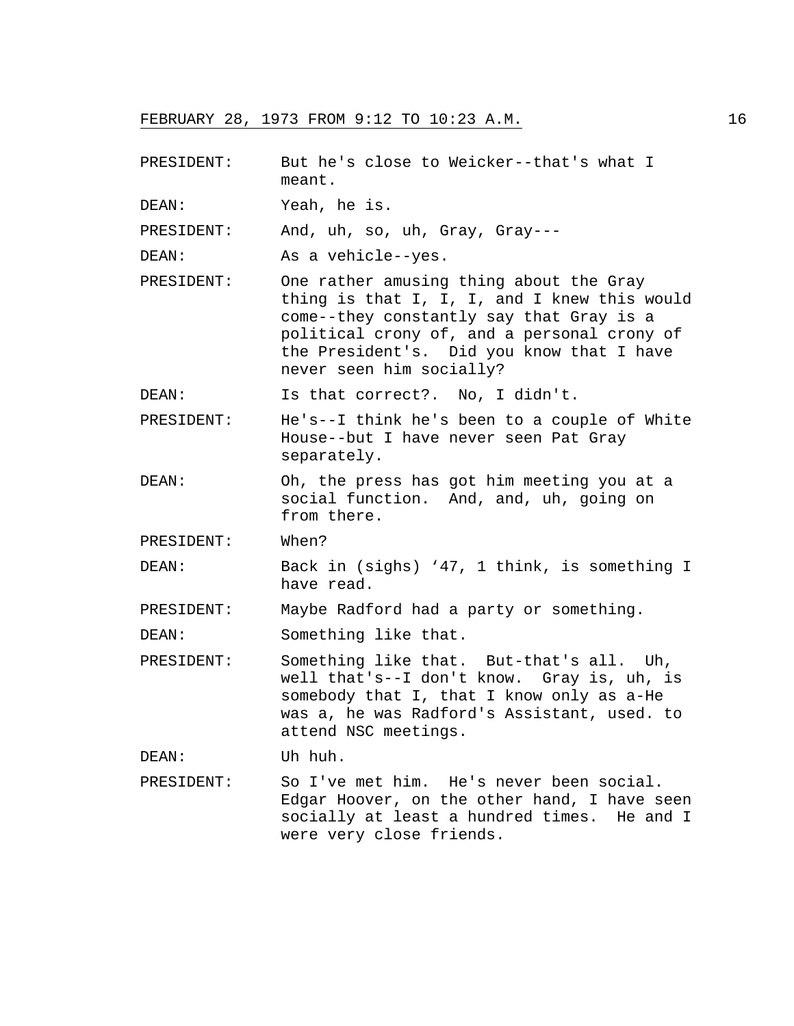- PRESIDENT: But he's close to Weicker--that's what I meant.
- DEAN: Yeah, he is.

PRESIDENT: And, uh, so, uh, Gray, Gray---

DEAN: As a vehicle--yes.

PRESIDENT: One rather amusing thing about the Gray thing is that I, I, I, and I knew this would come--they constantly say that Gray is a political crony of, and a personal crony of the President's. Did you know that I have never seen him socially?

DEAN: Is that correct?. No, I didn't.

- PRESIDENT: He's--I think he's been to a couple of White House--but I have never seen Pat Gray separately.
- DEAN: Oh, the press has got him meeting you at a social function. And, and, uh, going on from there.
- PRESIDENT: When?

DEAN: Back in (sighs) '47, 1 think, is something I have read.

PRESIDENT: Maybe Radford had a party or something.

DEAN: Something like that.

PRESIDENT: Something like that. But-that's all. Uh, well that's--I don't know. Gray is, uh, is somebody that I, that I know only as a-He was a, he was Radford's Assistant, used. to attend NSC meetings.

DEAN: Uh huh.

PRESIDENT: So I've met him. He's never been social. Edgar Hoover, on the other hand, I have seen socially at least a hundred times. He and I were very close friends.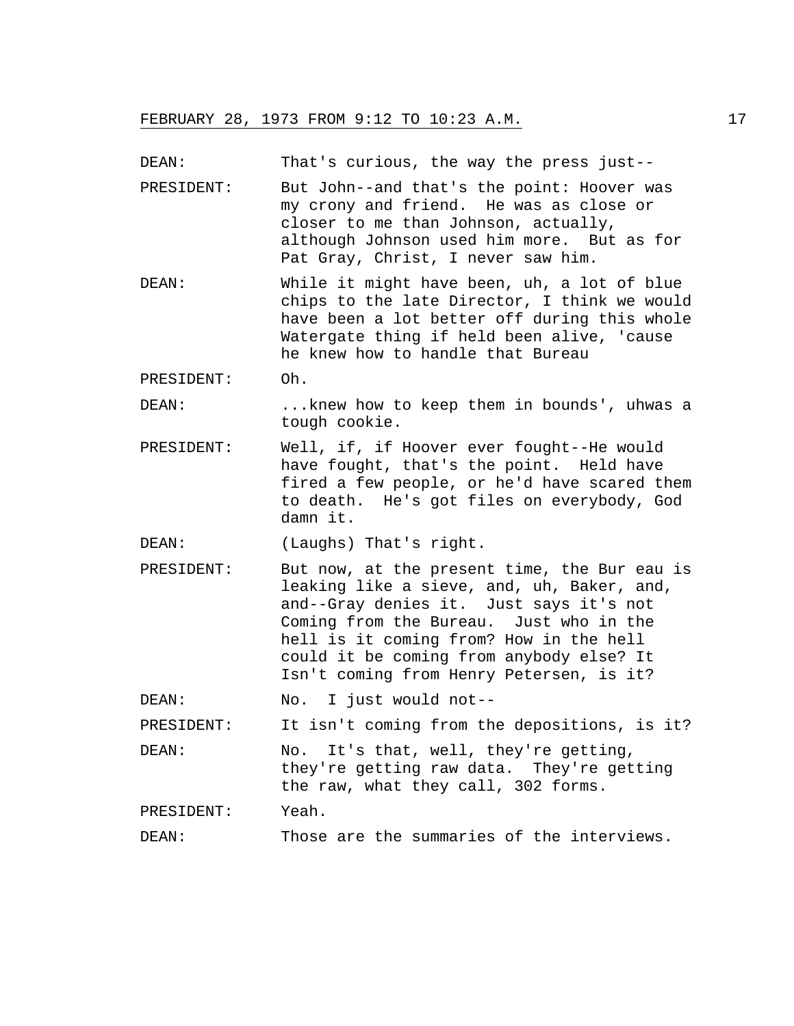DEAN: That's curious, the way the press just--

- PRESIDENT: But John--and that's the point: Hoover was my crony and friend. He was as close or closer to me than Johnson, actually, although Johnson used him more. But as for Pat Gray, Christ, I never saw him.
- DEAN: While it might have been, uh, a lot of blue chips to the late Director, I think we would have been a lot better off during this whole Watergate thing if held been alive, 'cause he knew how to handle that Bureau
- PRESIDENT: Oh.
- DEAN: ...knew how to keep them in bounds', uhwas a tough cookie.
- PRESIDENT: Well, if, if Hoover ever fought--He would have fought, that's the point. Held have fired a few people, or he'd have scared them to death. He's got files on everybody, God damn it.

DEAN: (Laughs) That's right.

- PRESIDENT: But now, at the present time, the Bur eau is leaking like a sieve, and, uh, Baker, and, and--Gray denies it. Just says it's not Coming from the Bureau. Just who in the hell is it coming from? How in the hell could it be coming from anybody else? It Isn't coming from Henry Petersen, is it?
- DEAN: No. I just would not--

PRESIDENT: It isn't coming from the depositions, is it?

DEAN: No. It's that, well, they're getting, they're getting raw data. They're getting the raw, what they call, 302 forms.

PRESIDENT: Yeah.

DEAN: Those are the summaries of the interviews.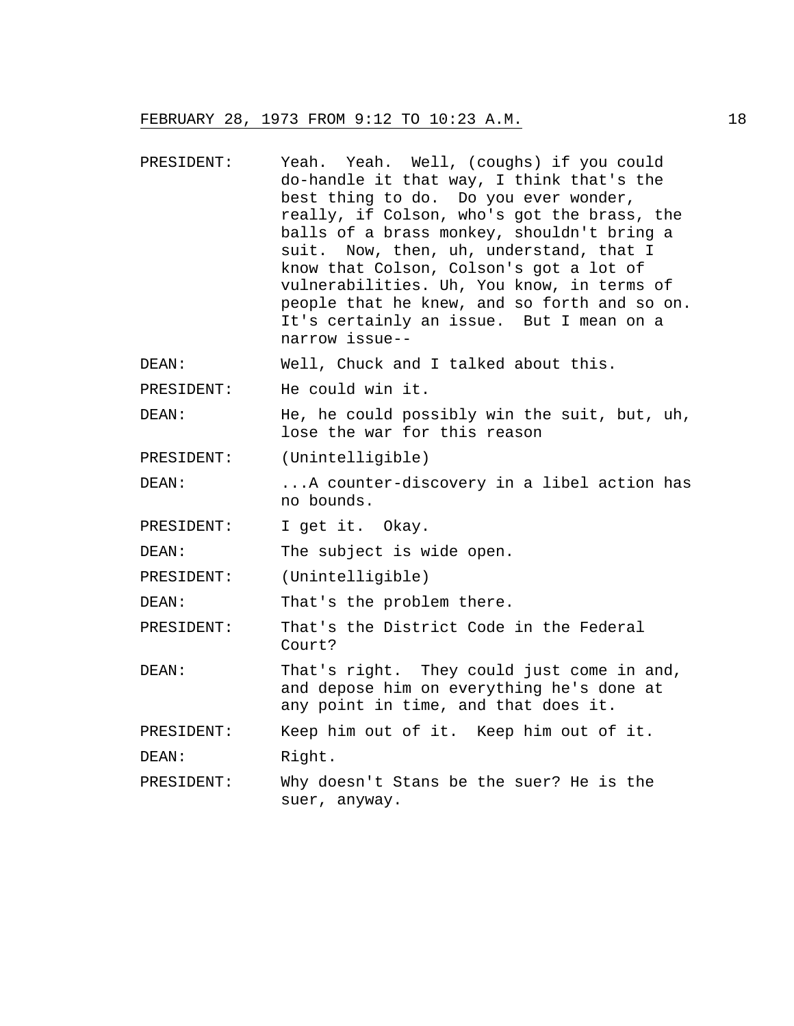- PRESIDENT: Yeah. Yeah. Well, (coughs) if you could do-handle it that way, I think that's the best thing to do. Do you ever wonder, really, if Colson, who's got the brass, the balls of a brass monkey, shouldn't bring a suit. Now, then, uh, understand, that I know that Colson, Colson's got a lot of vulnerabilities. Uh, You know, in terms of people that he knew, and so forth and so on. It's certainly an issue. But I mean on a narrow issue-- DEAN: Well, Chuck and I talked about this.
- PRESIDENT: He could win it.
- DEAN: He, he could possibly win the suit, but, uh, lose the war for this reason
- PRESIDENT: (Unintelligible)
- DEAN: ...A counter-discovery in a libel action has no bounds.
- PRESIDENT: I get it. Okay.

DEAN: The subject is wide open.

PRESIDENT: (Unintelligible)

DEAN: That's the problem there.

PRESIDENT: That's the District Code in the Federal Court?

DEAN: That's right. They could just come in and, and depose him on everything he's done at any point in time, and that does it.

PRESIDENT: Keep him out of it. Keep him out of it.

DEAN: Right.

PRESIDENT: Why doesn't Stans be the suer? He is the suer, anyway.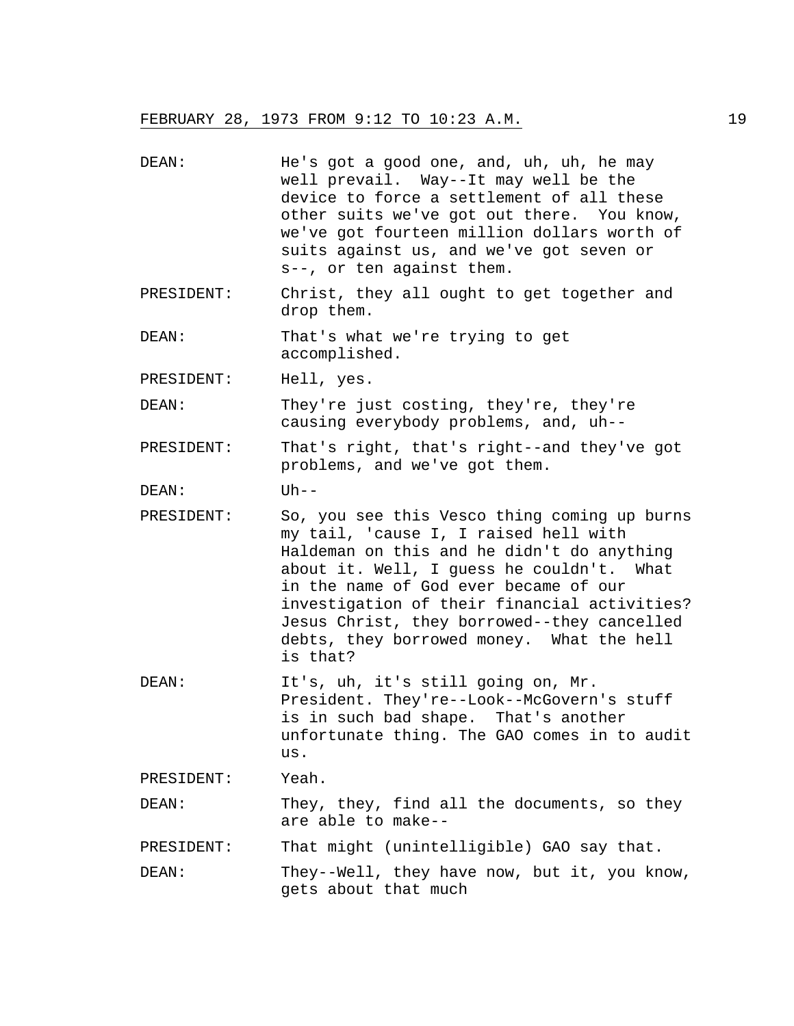| DEAN:      | He's got a good one, and, uh, uh, he may<br>well prevail. Way--It may well be the<br>device to force a settlement of all these<br>other suits we've got out there. You know,<br>we've got fourteen million dollars worth of<br>suits against us, and we've got seven or<br>s--, or ten against them.                                                                              |
|------------|-----------------------------------------------------------------------------------------------------------------------------------------------------------------------------------------------------------------------------------------------------------------------------------------------------------------------------------------------------------------------------------|
| PRESIDENT: | Christ, they all ought to get together and<br>drop them.                                                                                                                                                                                                                                                                                                                          |
| DEAN:      | That's what we're trying to get<br>accomplished.                                                                                                                                                                                                                                                                                                                                  |
| PRESIDENT: | Hell, yes.                                                                                                                                                                                                                                                                                                                                                                        |
| DEAN:      | They're just costing, they're, they're<br>causing everybody problems, and, uh--                                                                                                                                                                                                                                                                                                   |
| PRESIDENT: | That's right, that's right--and they've got<br>problems, and we've got them.                                                                                                                                                                                                                                                                                                      |
| DEAN:      | $Uh--$                                                                                                                                                                                                                                                                                                                                                                            |
| PRESIDENT: | So, you see this Vesco thing coming up burns<br>my tail, 'cause I, I raised hell with<br>Haldeman on this and he didn't do anything<br>about it. Well, I guess he couldn't. What<br>in the name of God ever became of our<br>investigation of their financial activities?<br>Jesus Christ, they borrowed--they cancelled<br>debts, they borrowed money. What the hell<br>is that? |
| DEAN:      | It's, uh, it's still going on, Mr.<br>President. They're--Look--McGovern's stuff<br>is in such bad shape. That's another<br>unfortunate thing. The GAO comes in to audit<br>us.                                                                                                                                                                                                   |
| PRESIDENT: | Yeah.                                                                                                                                                                                                                                                                                                                                                                             |
| DEAN:      | They, they, find all the documents, so they<br>are able to make--                                                                                                                                                                                                                                                                                                                 |
| PRESIDENT: | That might (unintelligible) GAO say that.                                                                                                                                                                                                                                                                                                                                         |
| DEAN:      | They--Well, they have now, but it, you know,<br>gets about that much                                                                                                                                                                                                                                                                                                              |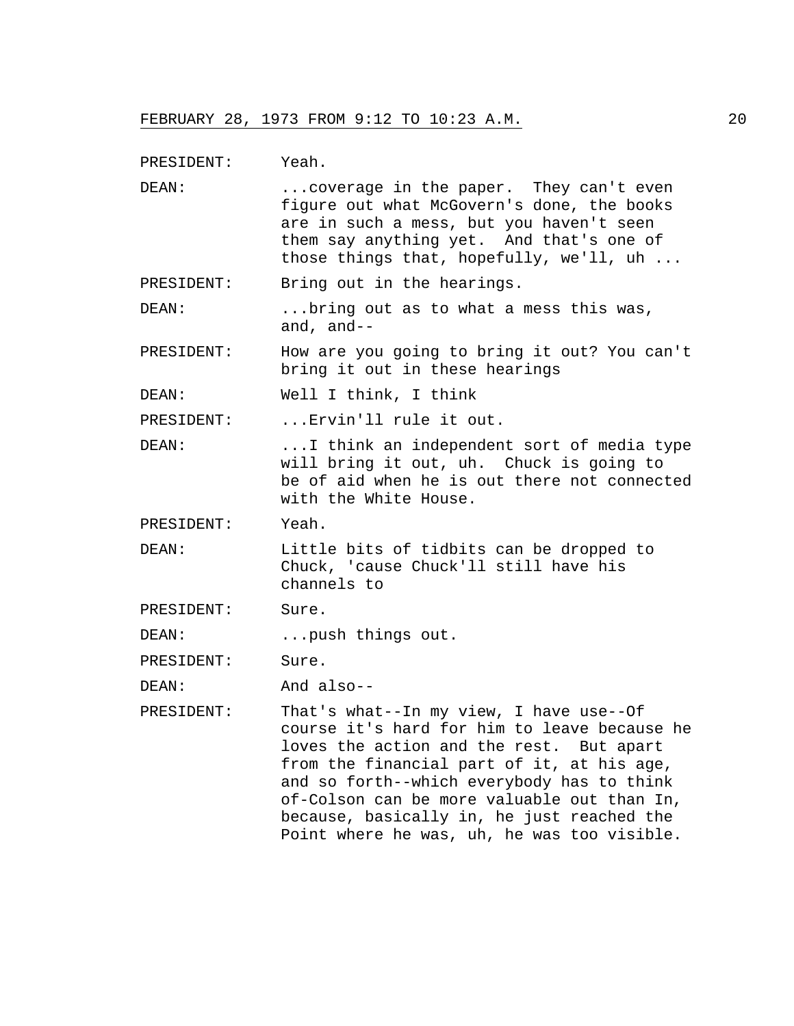PRESIDENT: Yeah.

DEAN: ...coverage in the paper. They can't even figure out what McGovern's done, the books are in such a mess, but you haven't seen them say anything yet. And that's one of those things that, hopefully, we'll, uh ...

PRESIDENT: Bring out in the hearings.

DEAN: ...bring out as to what a mess this was, and, and--

- PRESIDENT: How are you going to bring it out? You can't bring it out in these hearings
- DEAN: Well I think, I think

PRESIDENT: ... Ervin'll rule it out.

- DEAN: ...I think an independent sort of media type will bring it out, uh. Chuck is going to be of aid when he is out there not connected with the White House.
- PRESIDENT: Yeah.
- DEAN: Little bits of tidbits can be dropped to Chuck, 'cause Chuck'll still have his channels to
- PRESIDENT: Sure.

DEAN: ...push things out.

PRESIDENT: Sure.

DEAN: And also--

PRESIDENT: That's what--In my view, I have use--Of course it's hard for him to leave because he loves the action and the rest. But apart from the financial part of it, at his age, and so forth--which everybody has to think of-Colson can be more valuable out than In, because, basically in, he just reached the Point where he was, uh, he was too visible.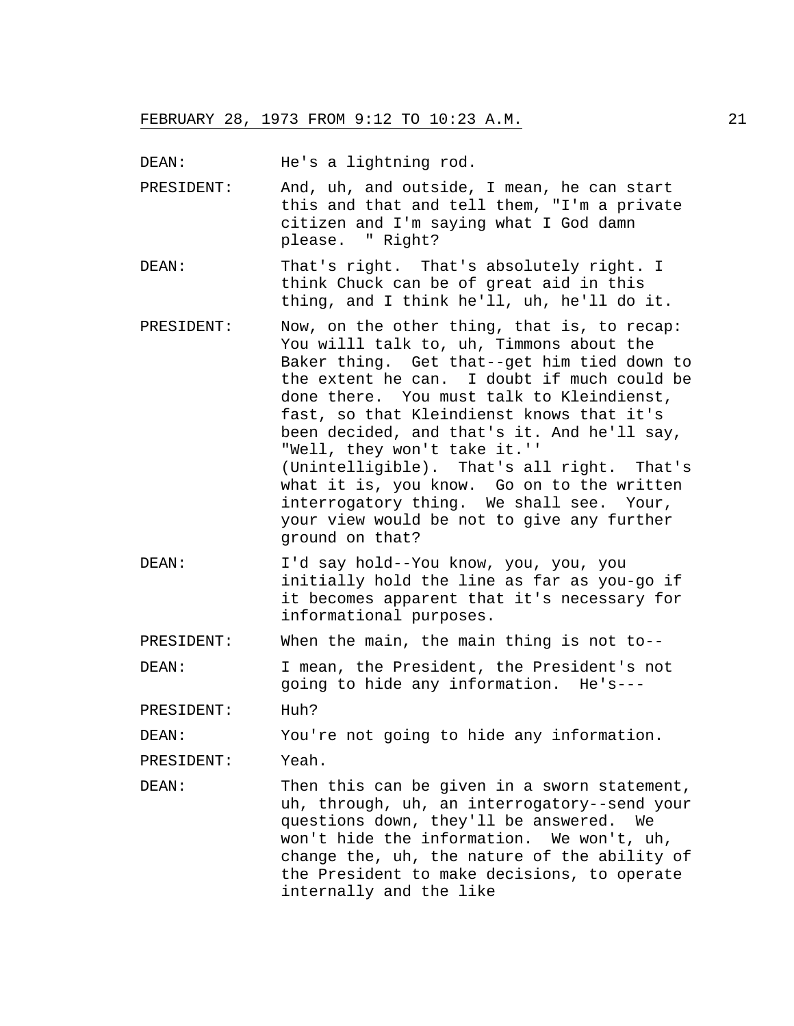DEAN: He's a lightning rod.

- PRESIDENT: And, uh, and outside, I mean, he can start this and that and tell them, "I'm a private citizen and I'm saying what I God damn please. " Right?
- DEAN: That's right. That's absolutely right. I think Chuck can be of great aid in this thing, and I think he'll, uh, he'll do it.
- PRESIDENT: Now, on the other thing, that is, to recap: You willl talk to, uh, Timmons about the Baker thing. Get that--get him tied down to the extent he can. I doubt if much could be done there. You must talk to Kleindienst, fast, so that Kleindienst knows that it's been decided, and that's it. And he'll say, "Well, they won't take it.'' (Unintelligible). That's all right. That's what it is, you know. Go on to the written interrogatory thing. We shall see. Your, your view would be not to give any further ground on that?
- DEAN: I'd say hold--You know, you, you, you initially hold the line as far as you-go if it becomes apparent that it's necessary for informational purposes.

PRESIDENT: When the main, the main thing is not to--

DEAN: I mean, the President, the President's not going to hide any information. He's---

PRESIDENT: Huh?

DEAN: You're not going to hide any information.

PRESIDENT: Yeah.

DEAN: Then this can be given in a sworn statement, uh, through, uh, an interrogatory--send your questions down, they'll be answered. We won't hide the information. We won't, uh, change the, uh, the nature of the ability of the President to make decisions, to operate internally and the like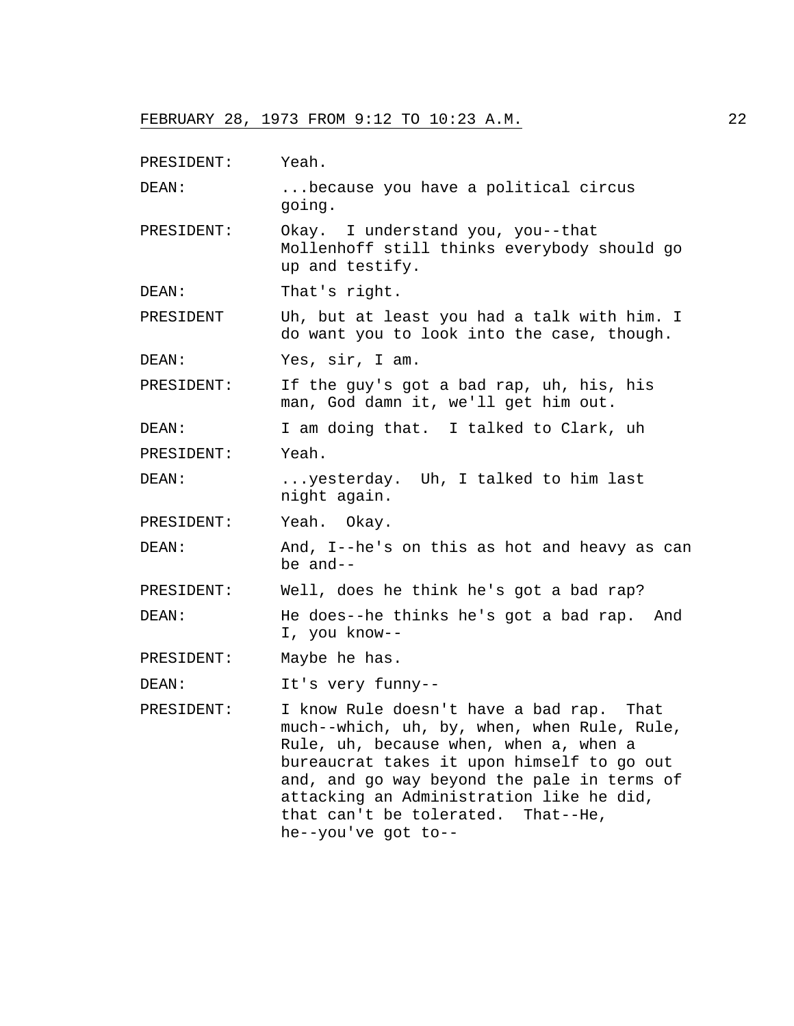PRESIDENT: Yeah.

DEAN: ...because you have a political circus going.

- PRESIDENT: Okay. I understand you, you--that Mollenhoff still thinks everybody should go up and testify.
- DEAN: That's right.

PRESIDENT Uh, but at least you had a talk with him. I do want you to look into the case, though.

DEAN: Yes, sir, I am.

PRESIDENT: If the guy's got a bad rap, uh, his, his man, God damn it, we'll get him out.

DEAN: I am doing that. I talked to Clark, uh PRESIDENT: Yeah.

DEAN: ...yesterday. Uh, I talked to him last night again.

PRESIDENT: Yeah. Okay.

DEAN: And, I--he's on this as hot and heavy as can be and--

PRESIDENT: Well, does he think he's got a bad rap?

DEAN: He does--he thinks he's got a bad rap. And I, you know--

PRESIDENT: Maybe he has.

DEAN: It's very funny--

PRESIDENT: I know Rule doesn't have a bad rap. That much--which, uh, by, when, when Rule, Rule, Rule, uh, because when, when a, when a bureaucrat takes it upon himself to go out and, and go way beyond the pale in terms of attacking an Administration like he did, that can't be tolerated. That--He, he--you've got to--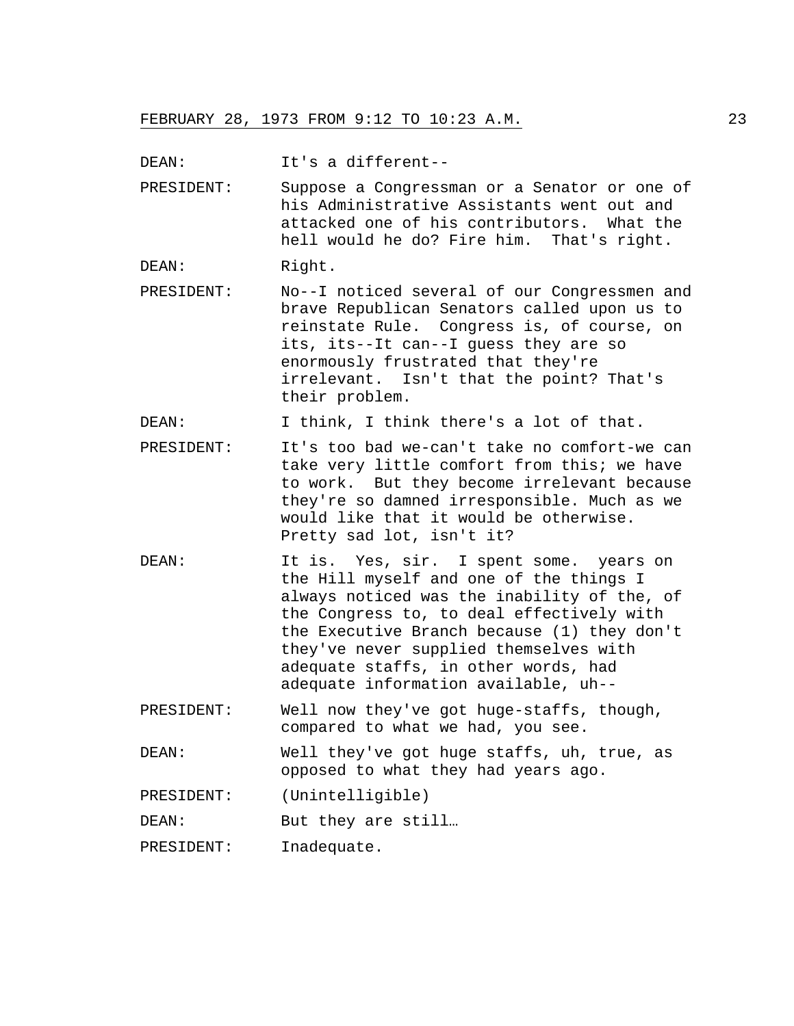DEAN: It's a different--

PRESIDENT: Suppose a Congressman or a Senator or one of his Administrative Assistants went out and attacked one of his contributors. What the hell would he do? Fire him. That's right.

DEAN: Right.

PRESIDENT: No--I noticed several of our Congressmen and brave Republican Senators called upon us to reinstate Rule. Congress is, of course, on its, its--It can--I guess they are so enormously frustrated that they're irrelevant. Isn't that the point? That's their problem.

DEAN: I think, I think there's a lot of that.

- PRESIDENT: It's too bad we-can't take no comfort-we can take very little comfort from this; we have to work. But they become irrelevant because they're so damned irresponsible. Much as we would like that it would be otherwise. Pretty sad lot, isn't it?
- DEAN: It is. Yes, sir. I spent some. years on the Hill myself and one of the things I always noticed was the inability of the, of the Congress to, to deal effectively with the Executive Branch because (1) they don't they've never supplied themselves with adequate staffs, in other words, had adequate information available, uh--

PRESIDENT: Well now they've got huge-staffs, though, compared to what we had, you see.

DEAN: Well they've got huge staffs, uh, true, as opposed to what they had years ago.

PRESIDENT: (Unintelligible)

DEAN: But they are still...

PRESIDENT: Inadequate.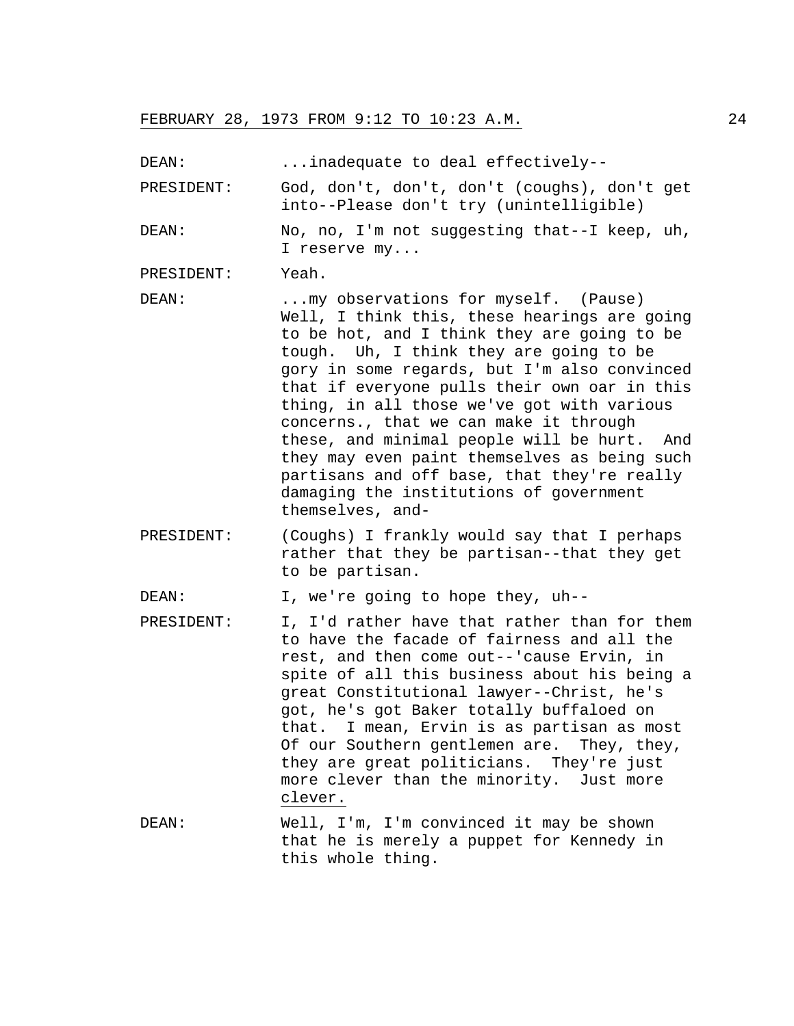DEAN: ...inadequate to deal effectively--

PRESIDENT: God, don't, don't, don't (coughs), don't get into--Please don't try (unintelligible)

DEAN: No, no, I'm not suggesting that--I keep, uh, I reserve my...

PRESIDENT: Yeah.

- DEAN: ...my observations for myself. (Pause) Well, I think this, these hearings are going to be hot, and I think they are going to be tough. Uh, I think they are going to be gory in some regards, but I'm also convinced that if everyone pulls their own oar in this thing, in all those we've got with various concerns., that we can make it through these, and minimal people will be hurt. And they may even paint themselves as being such partisans and off base, that they're really damaging the institutions of government themselves, and-
- PRESIDENT: (Coughs) I frankly would say that I perhaps rather that they be partisan--that they get to be partisan.

DEAN: I, we're going to hope they, uh--

- PRESIDENT: I, I'd rather have that rather than for them to have the facade of fairness and all the rest, and then come out--'cause Ervin, in spite of all this business about his being a great Constitutional lawyer--Christ, he's got, he's got Baker totally buffaloed on that. I mean, Ervin is as partisan as most Of our Southern gentlemen are. They, they, they are great politicians. They're just more clever than the minority. Just more clever.
- DEAN: Well, I'm, I'm convinced it may be shown that he is merely a puppet for Kennedy in this whole thing.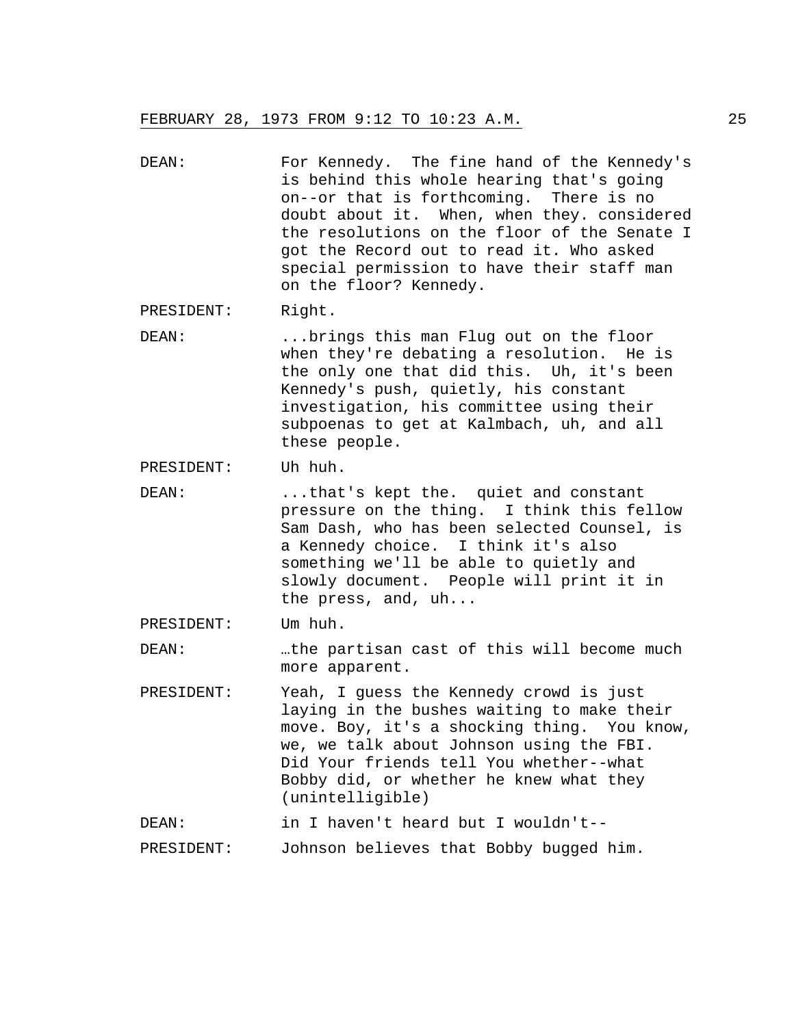DEAN: For Kennedy. The fine hand of the Kennedy's is behind this whole hearing that's going on--or that is forthcoming. There is no doubt about it. When, when they. considered the resolutions on the floor of the Senate I got the Record out to read it. Who asked special permission to have their staff man on the floor? Kennedy.

PRESIDENT: Right.

DEAN: ...brings this man Flug out on the floor when they're debating a resolution. He is the only one that did this. Uh, it's been Kennedy's push, quietly, his constant investigation, his committee using their subpoenas to get at Kalmbach, uh, and all these people.

PRESIDENT: Uh huh.

DEAN: ...that's kept the. quiet and constant pressure on the thing. I think this fellow Sam Dash, who has been selected Counsel, is a Kennedy choice. I think it's also something we'll be able to quietly and slowly document. People will print it in the press, and, uh...

### PRESIDENT: Um huh.

DEAN: …the partisan cast of this will become much more apparent.

PRESIDENT: Yeah, I guess the Kennedy crowd is just laying in the bushes waiting to make their move. Boy, it's a shocking thing. You know, we, we talk about Johnson using the FBI. Did Your friends tell You whether--what Bobby did, or whether he knew what they (unintelligible)

DEAN: in I haven't heard but I wouldn't--

PRESIDENT: Johnson believes that Bobby bugged him.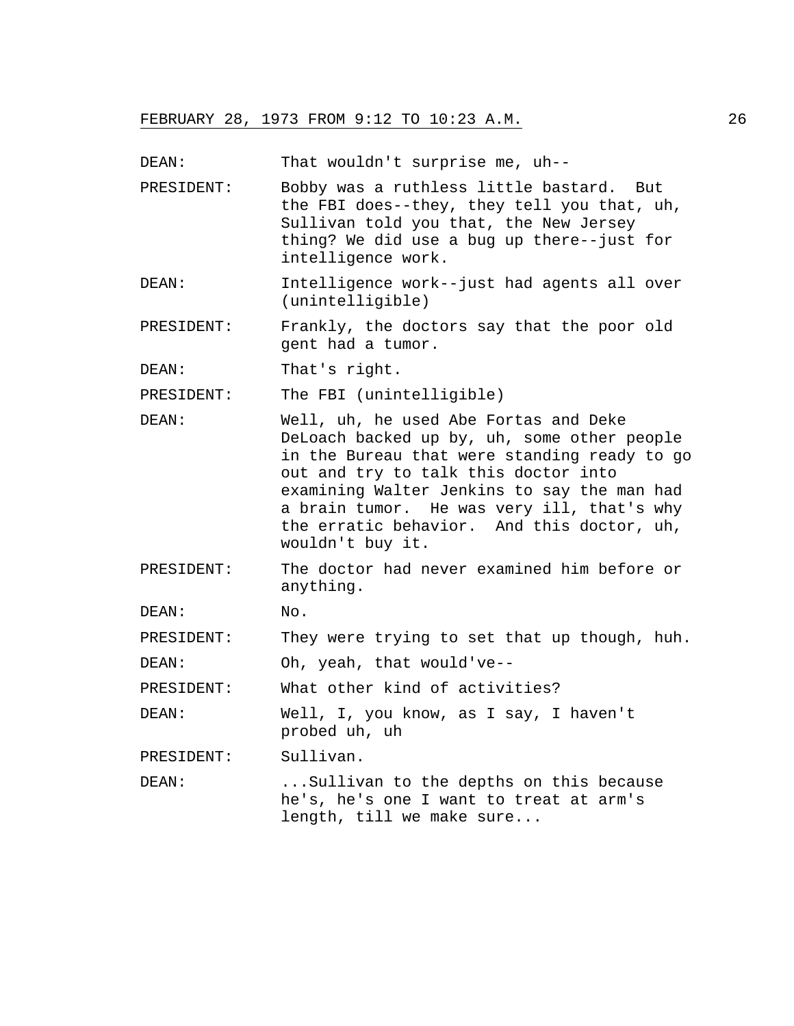DEAN: That wouldn't surprise me, uh--

- PRESIDENT: Bobby was a ruthless little bastard. But the FBI does--they, they tell you that, uh, Sullivan told you that, the New Jersey thing? We did use a bug up there--just for intelligence work.
- DEAN: Intelligence work--just had agents all over (unintelligible)
- PRESIDENT: Frankly, the doctors say that the poor old gent had a tumor.
- DEAN: That's right.

PRESIDENT: The FBI (unintelligible)

- DEAN: Well, uh, he used Abe Fortas and Deke DeLoach backed up by, uh, some other people in the Bureau that were standing ready to go out and try to talk this doctor into examining Walter Jenkins to say the man had a brain tumor. He was very ill, that's why the erratic behavior. And this doctor, uh, wouldn't buy it.
- PRESIDENT: The doctor had never examined him before or anything.

DEAN: No.

PRESIDENT: They were trying to set that up though, huh.

DEAN: Oh, yeah, that would've--

PRESIDENT: What other kind of activities?

DEAN: Well, I, you know, as I say, I haven't probed uh, uh

PRESIDENT: Sullivan.

DEAN: ...Sullivan to the depths on this because he's, he's one I want to treat at arm's length, till we make sure...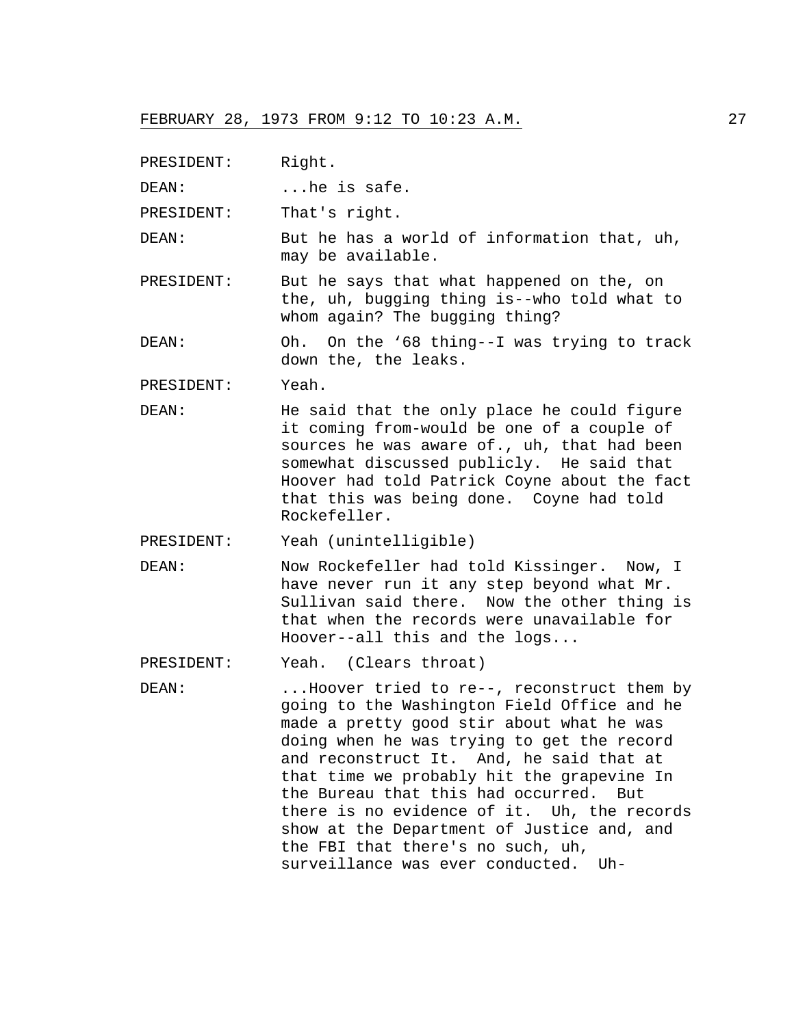PRESIDENT: Right.

DEAN: ...he is safe.

PRESIDENT: That's right.

DEAN: But he has a world of information that, uh, may be available.

PRESIDENT: But he says that what happened on the, on the, uh, bugging thing is--who told what to whom again? The bugging thing?

DEAN: Oh. On the '68 thing--I was trying to track down the, the leaks.

PRESIDENT: Yeah.

- DEAN: He said that the only place he could figure it coming from-would be one of a couple of sources he was aware of., uh, that had been somewhat discussed publicly. He said that Hoover had told Patrick Coyne about the fact that this was being done. Coyne had told Rockefeller.
- PRESIDENT: Yeah (unintelligible)
- DEAN: Now Rockefeller had told Kissinger. Now, I have never run it any step beyond what Mr. Sullivan said there. Now the other thing is that when the records were unavailable for Hoover--all this and the logs...

PRESIDENT: Yeah. (Clears throat)

DEAN: ...Hoover tried to re--, reconstruct them by going to the Washington Field Office and he made a pretty good stir about what he was doing when he was trying to get the record and reconstruct It. And, he said that at that time we probably hit the grapevine In the Bureau that this had occurred. But there is no evidence of it. Uh, the records show at the Department of Justice and, and the FBI that there's no such, uh, surveillance was ever conducted. Uh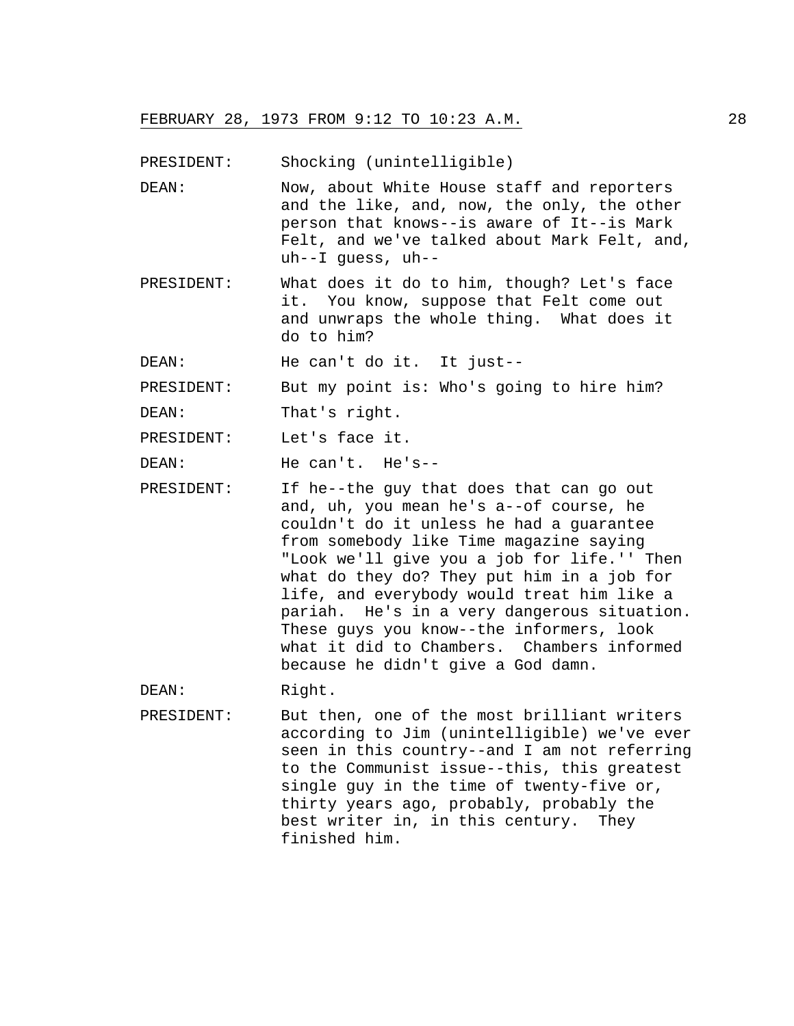PRESIDENT: Shocking (unintelligible)

- DEAN: Now, about White House staff and reporters and the like, and, now, the only, the other person that knows--is aware of It--is Mark Felt, and we've talked about Mark Felt, and, uh--I guess, uh--
- PRESIDENT: What does it do to him, though? Let's face it. You know, suppose that Felt come out and unwraps the whole thing. What does it do to him?

DEAN: He can't do it. It just--

PRESIDENT: But my point is: Who's going to hire him?

DEAN: That's right.

PRESIDENT: Let's face it.

DEAN: He can't. He's--

PRESIDENT: If he--the guy that does that can go out and, uh, you mean he's a--of course, he couldn't do it unless he had a guarantee from somebody like Time magazine saying "Look we'll give you a job for life.'' Then what do they do? They put him in a job for life, and everybody would treat him like a pariah. He's in a very dangerous situation. These guys you know--the informers, look what it did to Chambers. Chambers informed because he didn't give a God damn.

DEAN: Right.

PRESIDENT: But then, one of the most brilliant writers according to Jim (unintelligible) we've ever seen in this country--and I am not referring to the Communist issue--this, this greatest single guy in the time of twenty-five or, thirty years ago, probably, probably the best writer in, in this century. They finished him.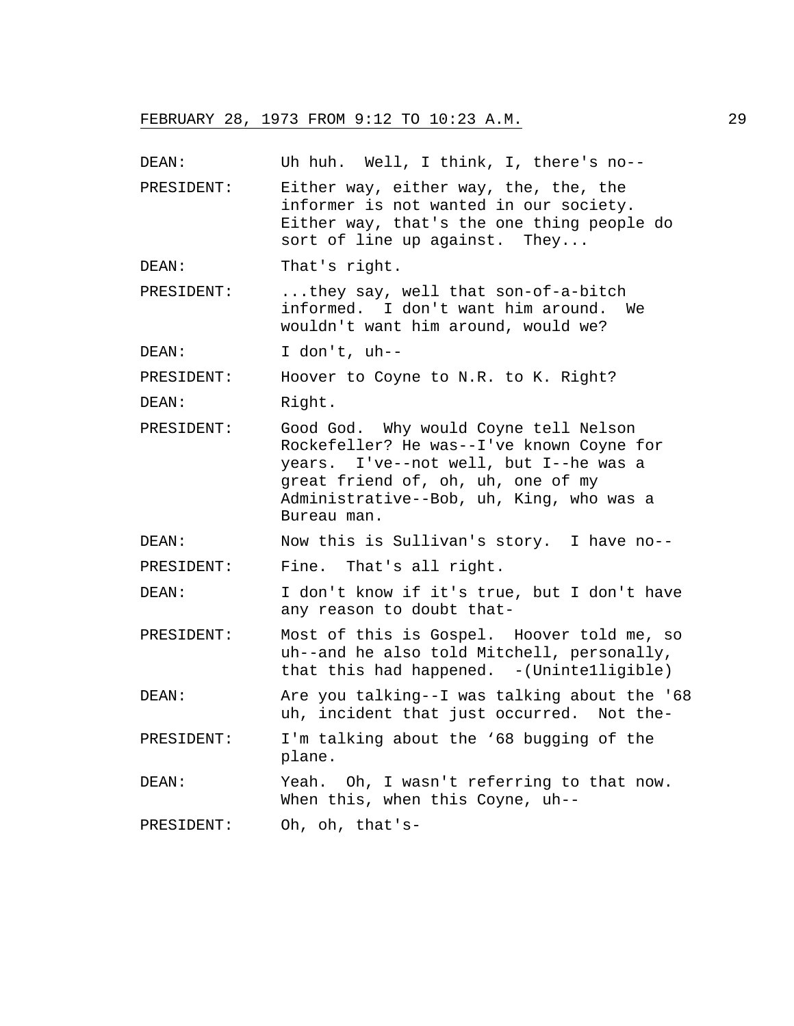| DEAN:      | Uh huh. Well, I think, I, there's no--                                                                                                                                                                                        |
|------------|-------------------------------------------------------------------------------------------------------------------------------------------------------------------------------------------------------------------------------|
| PRESIDENT: | Either way, either way, the, the, the<br>informer is not wanted in our society.<br>Either way, that's the one thing people do<br>sort of line up against. They                                                                |
| DEAN:      | That's right.                                                                                                                                                                                                                 |
| PRESIDENT: | they say, well that son-of-a-bitch<br>informed. I don't want him around. We<br>wouldn't want him around, would we?                                                                                                            |
| DEAN:      | I don't, uh--                                                                                                                                                                                                                 |
| PRESIDENT: | Hoover to Coyne to N.R. to K. Right?                                                                                                                                                                                          |
| DEAN:      | Right.                                                                                                                                                                                                                        |
| PRESIDENT: | Good God. Why would Coyne tell Nelson<br>Rockefeller? He was--I've known Coyne for<br>years. I've--not well, but I--he was a<br>great friend of, oh, uh, one of my<br>Administrative--Bob, uh, King, who was a<br>Bureau man. |
| DEAN:      | Now this is Sullivan's story. I have no--                                                                                                                                                                                     |
| PRESIDENT: | Fine. That's all right.                                                                                                                                                                                                       |
| DEAN:      | I don't know if it's true, but I don't have<br>any reason to doubt that-                                                                                                                                                      |
| PRESIDENT: | Most of this is Gospel. Hoover told me, so<br>uh--and he also told Mitchell, personally,<br>that this had happened. $-(\text{Unitedlight})$                                                                                   |
| DEAN:      | Are you talking--I was talking about the '68<br>uh, incident that just occurred. Not the-                                                                                                                                     |
| PRESIDENT: | I'm talking about the '68 bugging of the<br>plane.                                                                                                                                                                            |
| DEAN:      | Yeah. Oh, I wasn't referring to that now.<br>When this, when this Coyne, uh--                                                                                                                                                 |
| PRESIDENT: | Oh, oh, that's-                                                                                                                                                                                                               |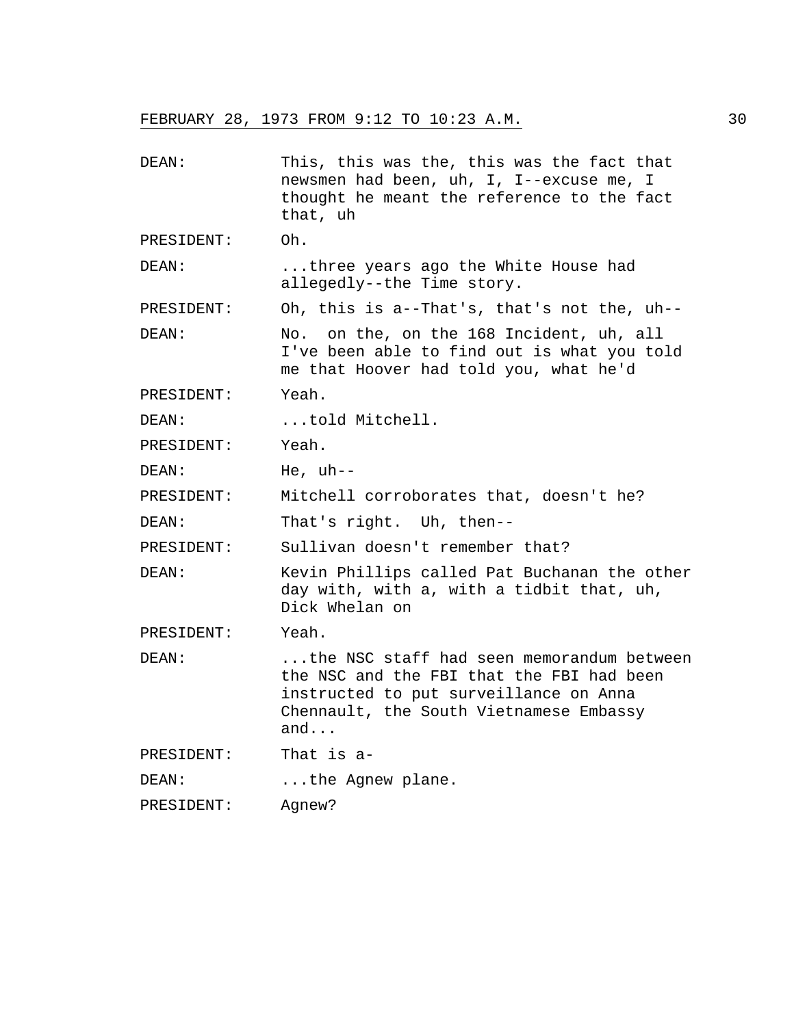| DEAN:      | This, this was the, this was the fact that<br>newsmen had been, uh, I, I--excuse me, I<br>thought he meant the reference to the fact<br>that, uh                                   |
|------------|------------------------------------------------------------------------------------------------------------------------------------------------------------------------------------|
| PRESIDENT: | Oh.                                                                                                                                                                                |
| DEAN:      | three years ago the White House had<br>allegedly--the Time story.                                                                                                                  |
| PRESIDENT: | Oh, this is a--That's, that's not the, uh--                                                                                                                                        |
| DEAN:      | No. on the, on the 168 Incident, uh, all<br>I've been able to find out is what you told<br>me that Hoover had told you, what he'd                                                  |
| PRESIDENT: | Yeah.                                                                                                                                                                              |
| DEAN:      | told Mitchell.                                                                                                                                                                     |
| PRESIDENT: | Yeah.                                                                                                                                                                              |
| DEAN:      | He, $uh--$                                                                                                                                                                         |
| PRESIDENT: | Mitchell corroborates that, doesn't he?                                                                                                                                            |
| DEAN:      | That's right. Uh, then--                                                                                                                                                           |
| PRESIDENT: | Sullivan doesn't remember that?                                                                                                                                                    |
| DEAN:      | Kevin Phillips called Pat Buchanan the other<br>day with, with a, with a tidbit that, uh,<br>Dick Whelan on                                                                        |
| PRESIDENT: | Yeah.                                                                                                                                                                              |
| DEAN:      | the NSC staff had seen memorandum between<br>the NSC and the FBI that the FBI had been<br>instructed to put surveillance on Anna<br>Chennault, the South Vietnamese Embassy<br>and |
| PRESIDENT: | That is a-                                                                                                                                                                         |
| DEAN:      | the Agnew plane.                                                                                                                                                                   |
| PRESIDENT: | Agnew?                                                                                                                                                                             |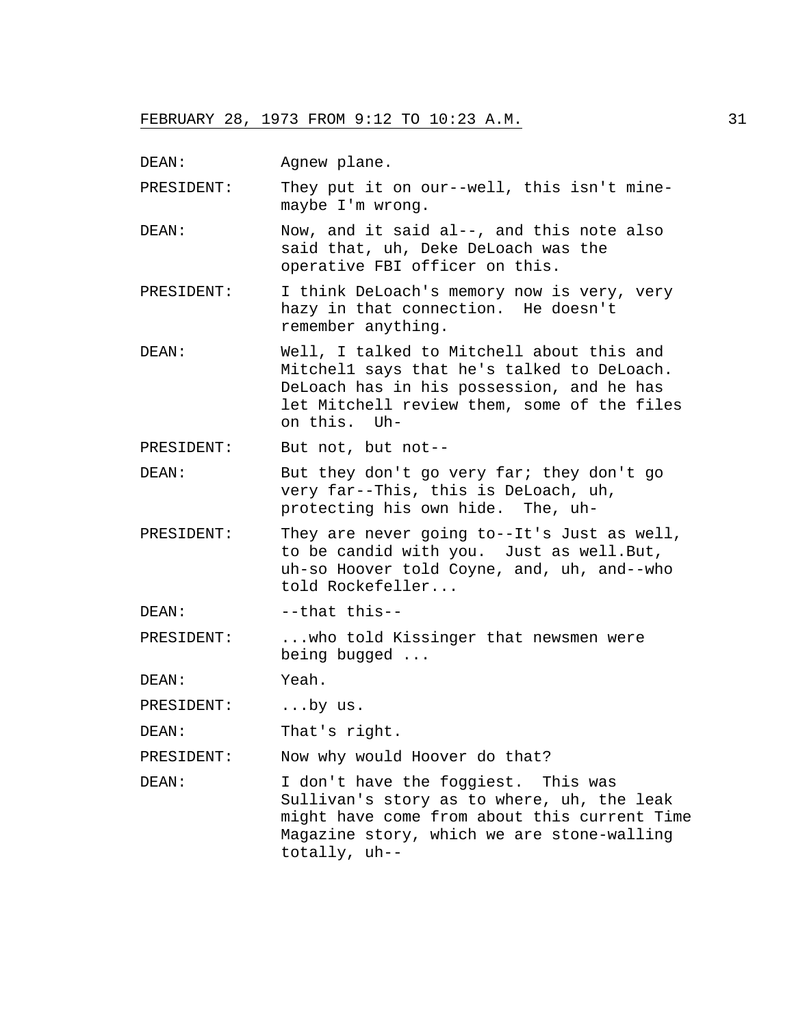DEAN: Agnew plane.

PRESIDENT: They put it on our--well, this isn't minemaybe I'm wrong.

- DEAN: Now, and it said al--, and this note also said that, uh, Deke DeLoach was the operative FBI officer on this.
- PRESIDENT: I think DeLoach's memory now is very, very hazy in that connection. He doesn't remember anything.
- DEAN: Well, I talked to Mitchell about this and Mitchel1 says that he's talked to DeLoach. DeLoach has in his possession, and he has let Mitchell review them, some of the files on this. Uh-

PRESIDENT: But not, but not--

- DEAN: But they don't go very far; they don't go very far--This, this is DeLoach, uh, protecting his own hide. The, uh-
- PRESIDENT: They are never going to--It's Just as well, to be candid with you. Just as well.But, uh-so Hoover told Coyne, and, uh, and--who told Rockefeller...
- DEAN: --that this--

PRESIDENT: ... who told Kissinger that newsmen were being bugged ...

DEAN: Yeah.

PRESIDENT: ...by us.

DEAN: That's right.

PRESIDENT: Now why would Hoover do that?

DEAN: I don't have the foggiest. This was Sullivan's story as to where, uh, the leak might have come from about this current Time Magazine story, which we are stone-walling totally, uh--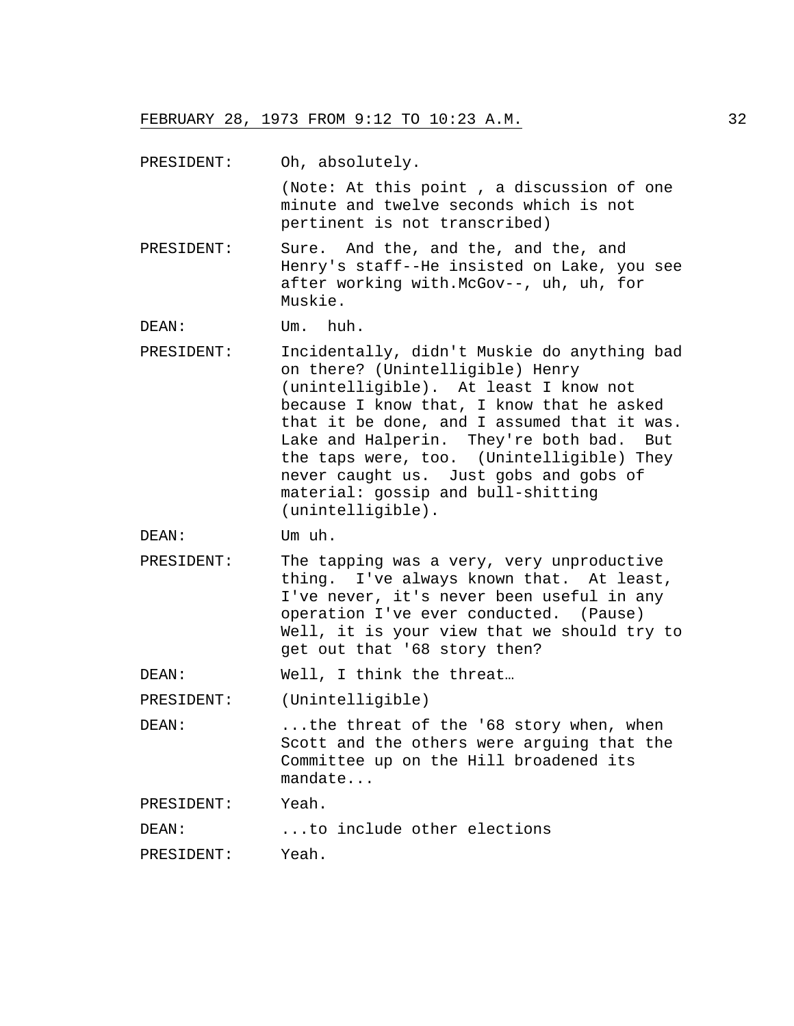| PRESIDENT: | Oh, absolutely.                                                                                                                                                                                                                                                                                                                                                                                                          |
|------------|--------------------------------------------------------------------------------------------------------------------------------------------------------------------------------------------------------------------------------------------------------------------------------------------------------------------------------------------------------------------------------------------------------------------------|
|            | (Note: At this point, a discussion of one<br>minute and twelve seconds which is not<br>pertinent is not transcribed)                                                                                                                                                                                                                                                                                                     |
| PRESIDENT: | Sure. And the, and the, and the, and<br>Henry's staff--He insisted on Lake, you see<br>after working with.McGov--, uh, uh, for<br>Muskie.                                                                                                                                                                                                                                                                                |
| DEAN:      | Um. huh.                                                                                                                                                                                                                                                                                                                                                                                                                 |
| PRESIDENT: | Incidentally, didn't Muskie do anything bad<br>on there? (Unintelligible) Henry<br>(unintelligible). At least I know not<br>because I know that, I know that he asked<br>that it be done, and I assumed that it was.<br>Lake and Halperin. They're both bad.<br>But<br>the taps were, too. (Unintelligible) They<br>never caught us. Just gobs and gobs of<br>material: gossip and bull-shitting<br>$(unintelligible)$ . |
| DEAN:      | Um uh.                                                                                                                                                                                                                                                                                                                                                                                                                   |
| PRESIDENT: | The tapping was a very, very unproductive<br>thing. I've always known that. At least,<br>I've never, it's never been useful in any<br>operation I've ever conducted. (Pause)<br>Well, it is your view that we should try to<br>get out that '68 story then?                                                                                                                                                              |
| DEAN:      | Well, I think the threat                                                                                                                                                                                                                                                                                                                                                                                                 |
| PRESIDENT: | (Unintelligible)                                                                                                                                                                                                                                                                                                                                                                                                         |
| DEAN:      | the threat of the '68 story when, when<br>Scott and the others were arguing that the<br>Committee up on the Hill broadened its<br>mandate                                                                                                                                                                                                                                                                                |
| PRESIDENT: | Yeah.                                                                                                                                                                                                                                                                                                                                                                                                                    |
| DEAN:      | to include other elections                                                                                                                                                                                                                                                                                                                                                                                               |

PRESIDENT: Yeah.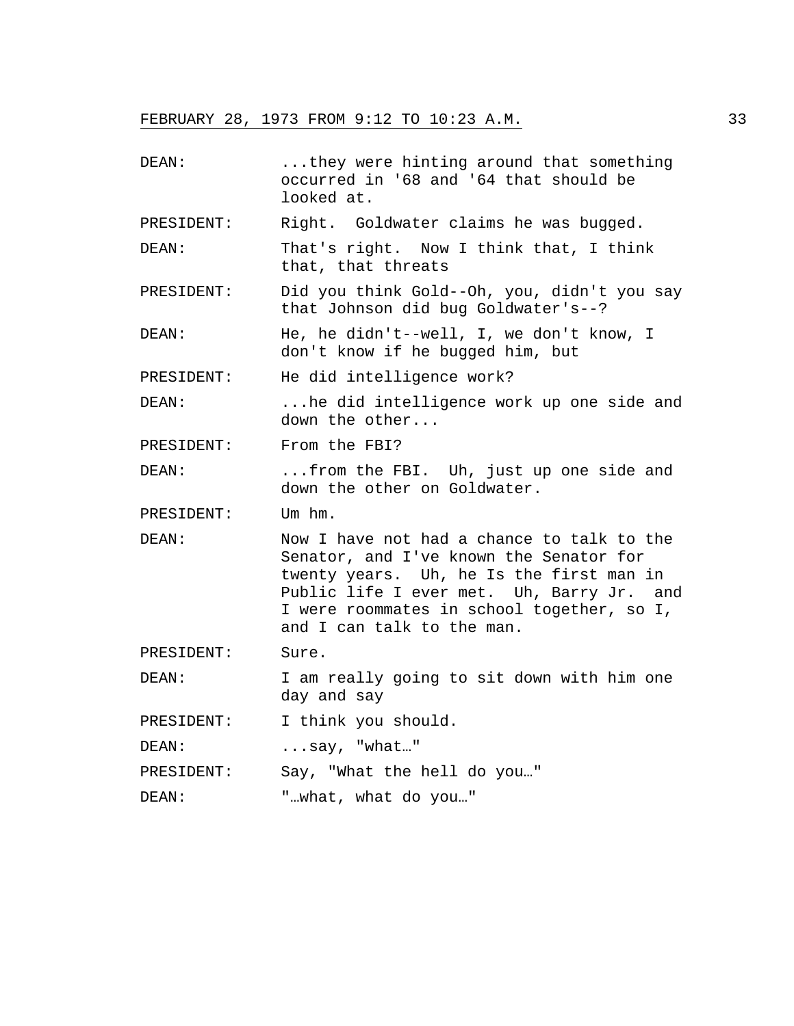| DEAN:      | they were hinting around that something<br>occurred in '68 and '64 that should be<br>looked at.                                                                                                                                                            |
|------------|------------------------------------------------------------------------------------------------------------------------------------------------------------------------------------------------------------------------------------------------------------|
| PRESIDENT: | Right. Goldwater claims he was bugged.                                                                                                                                                                                                                     |
| DEAN:      | That's right. Now I think that, I think<br>that, that threats                                                                                                                                                                                              |
| PRESIDENT: | Did you think Gold--Oh, you, didn't you say<br>that Johnson did bug Goldwater's--?                                                                                                                                                                         |
| DEAN:      | He, he didn't--well, I, we don't know, I<br>don't know if he bugged him, but                                                                                                                                                                               |
| PRESIDENT: | He did intelligence work?                                                                                                                                                                                                                                  |
| DEAN:      | he did intelligence work up one side and<br>down the other                                                                                                                                                                                                 |
| PRESIDENT: | From the FBI?                                                                                                                                                                                                                                              |
| DEAN:      | from the FBI. Uh, just up one side and<br>down the other on Goldwater.                                                                                                                                                                                     |
| PRESIDENT: | Um hm.                                                                                                                                                                                                                                                     |
| DEAN:      | Now I have not had a chance to talk to the<br>Senator, and I've known the Senator for<br>twenty years. Uh, he Is the first man in<br>Public life I ever met. Uh, Barry Jr. and<br>I were roommates in school together, so I,<br>and I can talk to the man. |
| PRESIDENT: | Sure.                                                                                                                                                                                                                                                      |
| DEAN:      | I am really going to sit down with him one<br>day and say                                                                                                                                                                                                  |
| PRESIDENT: | I think you should.                                                                                                                                                                                                                                        |
| DEAN:      | $\ldots$ say, "what"                                                                                                                                                                                                                                       |
| PRESIDENT: | Say, "What the hell do you"                                                                                                                                                                                                                                |
| DEAN:      | "what, what do you"                                                                                                                                                                                                                                        |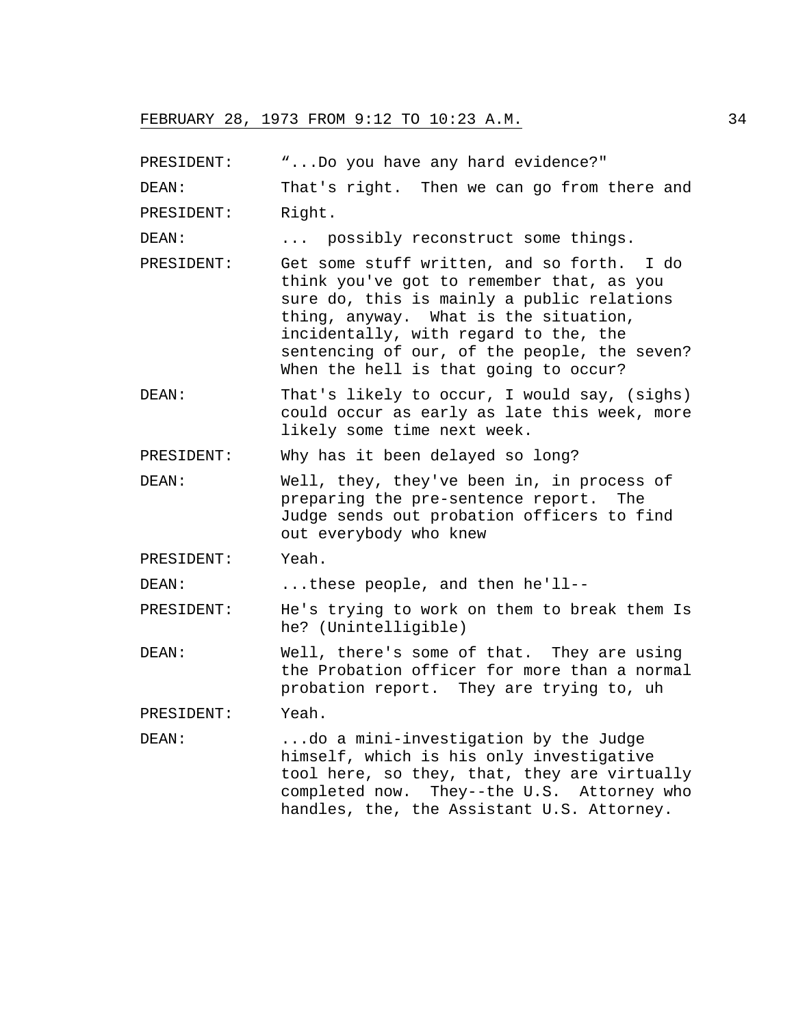PRESIDENT: "...Do you have any hard evidence?"

DEAN: That's right. Then we can go from there and PRESIDENT: Right.

DEAN: ... possibly reconstruct some things.

- PRESIDENT: Get some stuff written, and so forth. I do think you've got to remember that, as you sure do, this is mainly a public relations thing, anyway. What is the situation, incidentally, with regard to the, the sentencing of our, of the people, the seven? When the hell is that going to occur?
- DEAN: That's likely to occur, I would say, (sighs) could occur as early as late this week, more likely some time next week.

PRESIDENT: Why has it been delayed so long?

DEAN: Well, they, they've been in, in process of preparing the pre-sentence report. The Judge sends out probation officers to find out everybody who knew

PRESIDENT: Yeah.

DEAN: ...these people, and then he'll--

PRESIDENT: He's trying to work on them to break them Is he? (Unintelligible)

DEAN: Well, there's some of that. They are using the Probation officer for more than a normal probation report. They are trying to, uh

PRESIDENT: Yeah.

DEAN: ...do a mini-investigation by the Judge himself, which is his only investigative tool here, so they, that, they are virtually completed now. They--the U.S. Attorney who handles, the, the Assistant U.S. Attorney.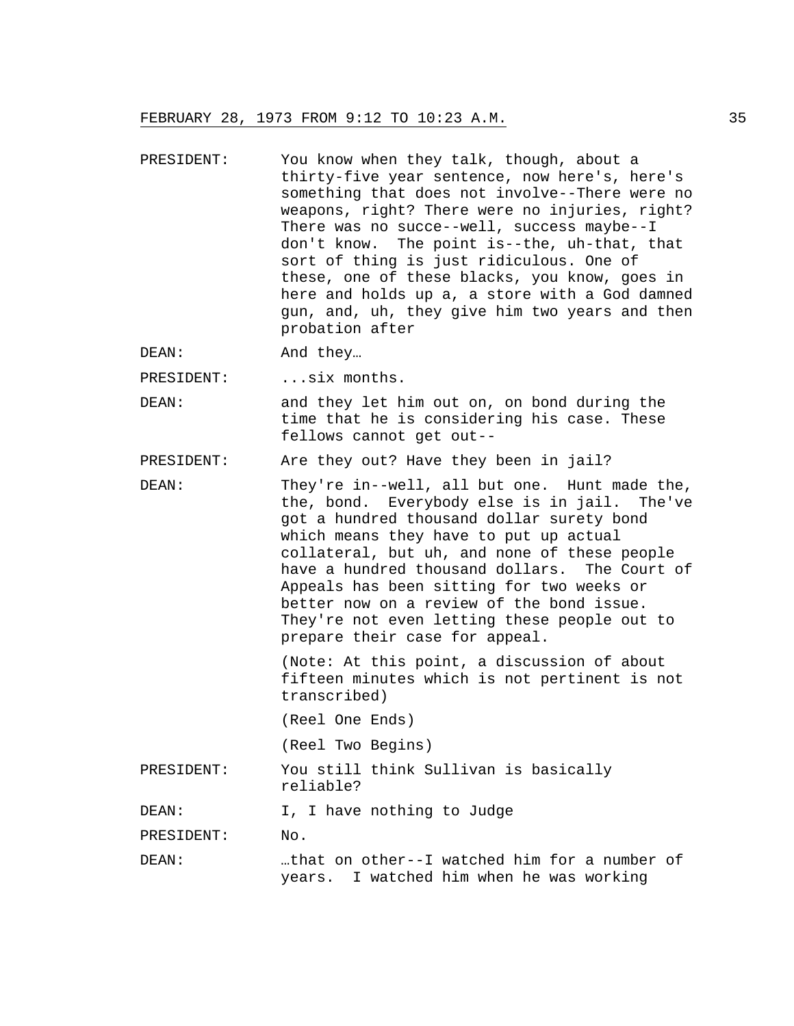- PRESIDENT: You know when they talk, though, about a thirty-five year sentence, now here's, here's something that does not involve--There were no weapons, right? There were no injuries, right? There was no succe--well, success maybe--I don't know. The point is--the, uh-that, that sort of thing is just ridiculous. One of these, one of these blacks, you know, goes in here and holds up a, a store with a God damned gun, and, uh, they give him two years and then probation after
- DEAN: And they…

PRESIDENT: ... six months.

DEAN: and they let him out on, on bond during the time that he is considering his case. These fellows cannot get out--

PRESIDENT: Are they out? Have they been in jail?

DEAN: They're in--well, all but one. Hunt made the, the, bond. Everybody else is in jail. The've got a hundred thousand dollar surety bond which means they have to put up actual collateral, but uh, and none of these people have a hundred thousand dollars. The Court of Appeals has been sitting for two weeks or better now on a review of the bond issue. They're not even letting these people out to prepare their case for appeal.

> (Note: At this point, a discussion of about fifteen minutes which is not pertinent is not transcribed)

(Reel One Ends)

(Reel Two Begins)

PRESIDENT: You still think Sullivan is basically reliable?

DEAN: I, I have nothing to Judge

PRESIDENT: No.

DEAN: …that on other--I watched him for a number of years. I watched him when he was working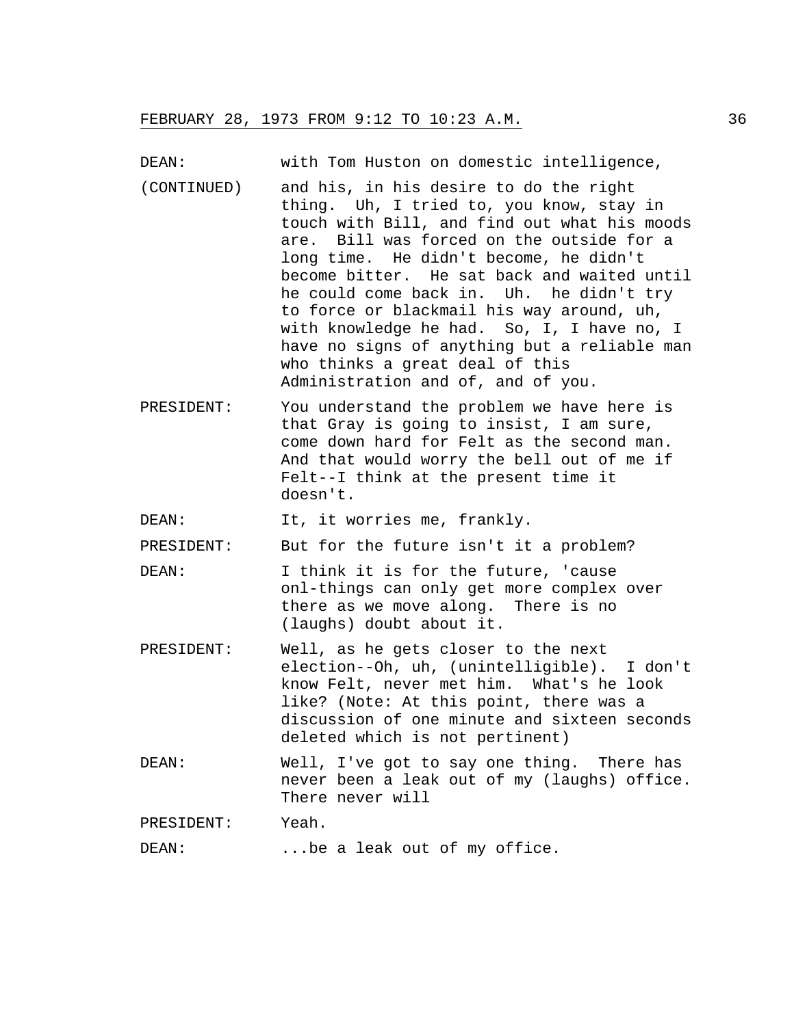DEAN: with Tom Huston on domestic intelligence,

- (CONTINUED) and his, in his desire to do the right thing. Uh, I tried to, you know, stay in touch with Bill, and find out what his moods are. Bill was forced on the outside for a long time. He didn't become, he didn't become bitter. He sat back and waited until he could come back in. Uh. he didn't try to force or blackmail his way around, uh, with knowledge he had. So, I, I have no, I have no signs of anything but a reliable man who thinks a great deal of this Administration and of, and of you.
- PRESIDENT: You understand the problem we have here is that Gray is going to insist, I am sure, come down hard for Felt as the second man. And that would worry the bell out of me if Felt--I think at the present time it doesn't.

DEAN: It, it worries me, frankly.

PRESIDENT: But for the future isn't it a problem?

- DEAN: I think it is for the future, 'cause onl-things can only get more complex over there as we move along. There is no (laughs) doubt about it.
- PRESIDENT: Well, as he gets closer to the next election--Oh, uh, (unintelligible). I don't know Felt, never met him. What's he look like? (Note: At this point, there was a discussion of one minute and sixteen seconds deleted which is not pertinent)
- DEAN: Well, I've got to say one thing. There has never been a leak out of my (laughs) office. There never will

PRESIDENT: Yeah.

DEAN: ...be a leak out of my office.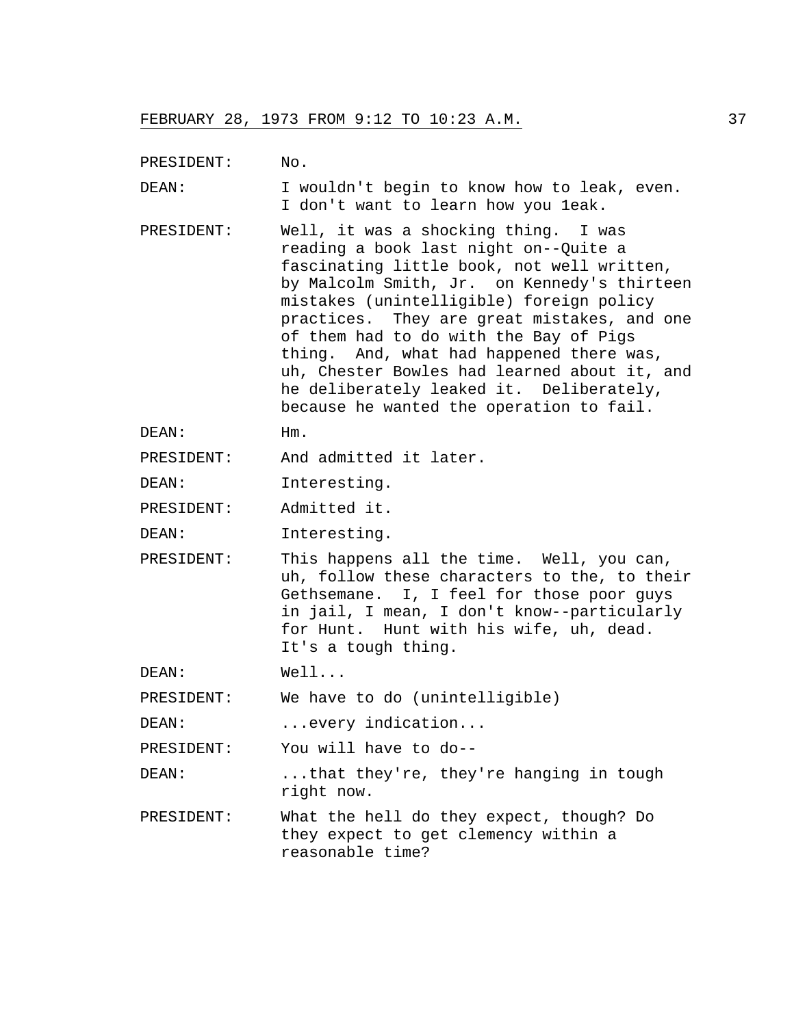PRESIDENT: No.

DEAN: I wouldn't begin to know how to leak, even. I don't want to learn how you 1eak.

- PRESIDENT: Well, it was a shocking thing. I was reading a book last night on--Quite a fascinating little book, not well written, by Malcolm Smith, Jr. on Kennedy's thirteen mistakes (unintelligible) foreign policy practices. They are great mistakes, and one of them had to do with the Bay of Pigs thing. And, what had happened there was, uh, Chester Bowles had learned about it, and he deliberately leaked it. Deliberately, because he wanted the operation to fail.
- DEAN: Hm.
- PRESIDENT: And admitted it later.
- DEAN: Interesting.
- PRESIDENT: Admitted it.
- DEAN: Interesting.
- PRESIDENT: This happens all the time. Well, you can, uh, follow these characters to the, to their Gethsemane. I, I feel for those poor guys in jail, I mean, I don't know--particularly for Hunt. Hunt with his wife, uh, dead. It's a tough thing.
- DEAN: Well...

PRESIDENT: We have to do (unintelligible)

DEAN: ...every indication...

PRESIDENT: You will have to do--

DEAN: ...that they're, they're hanging in tough right now.

PRESIDENT: What the hell do they expect, though? Do they expect to get clemency within a reasonable time?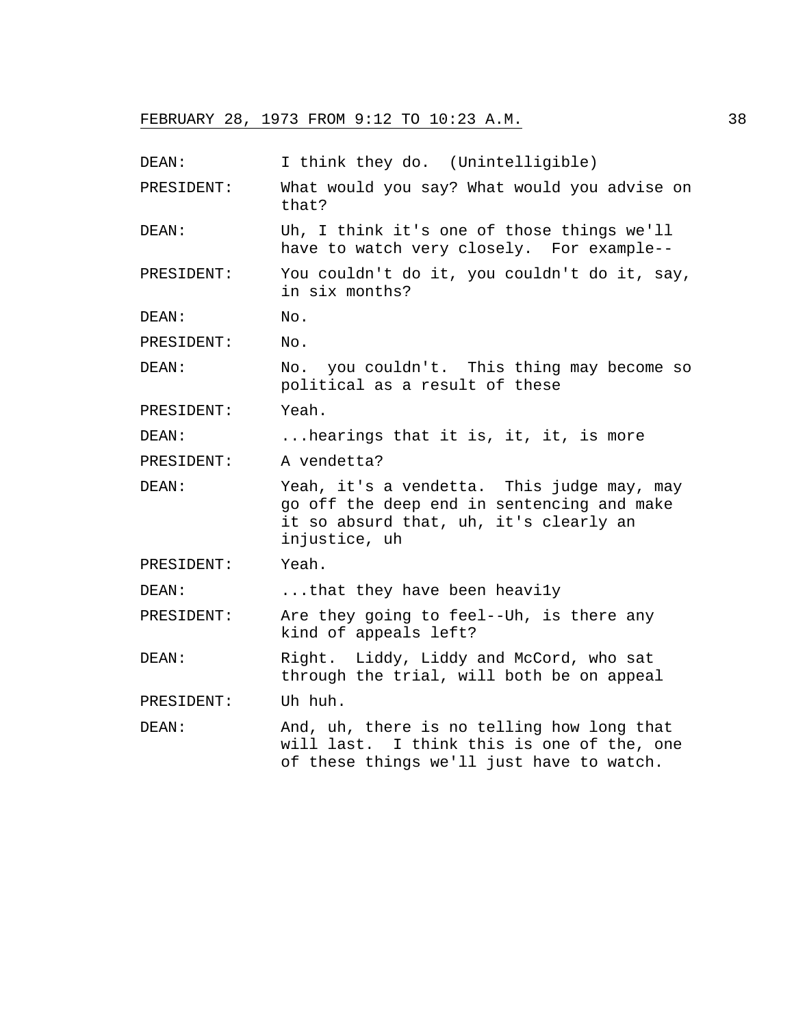| DEAN:      | I think they do. (Unintelligible)                                                                                                                   |
|------------|-----------------------------------------------------------------------------------------------------------------------------------------------------|
| PRESIDENT: | What would you say? What would you advise on<br>that?                                                                                               |
| DEAN:      | Uh, I think it's one of those things we'll<br>have to watch very closely. For example--                                                             |
| PRESIDENT: | You couldn't do it, you couldn't do it, say,<br>in six months?                                                                                      |
| DEAN:      | No.                                                                                                                                                 |
| PRESIDENT: | No.                                                                                                                                                 |
| DEAN:      | No. you couldn't. This thing may become so<br>political as a result of these                                                                        |
| PRESIDENT: | Yeah.                                                                                                                                               |
| DEAN:      | hearings that it is, it, it, is more                                                                                                                |
| PRESIDENT: | A vendetta?                                                                                                                                         |
| DEAN:      | Yeah, it's a vendetta. This judge may, may<br>go off the deep end in sentencing and make<br>it so absurd that, uh, it's clearly an<br>injustice, uh |
| PRESIDENT: | Yeah.                                                                                                                                               |
| DEAN:      | that they have been heavily                                                                                                                         |
| PRESIDENT: | Are they going to feel--Uh, is there any<br>kind of appeals left?                                                                                   |
| DEAN:      | Right. Liddy, Liddy and McCord, who sat<br>through the trial, will both be on appeal                                                                |
| PRESIDENT: | Uh huh.                                                                                                                                             |
| DEAN:      | And, uh, there is no telling how long that<br>will last. I think this is one of the, one<br>of these things we'll just have to watch.               |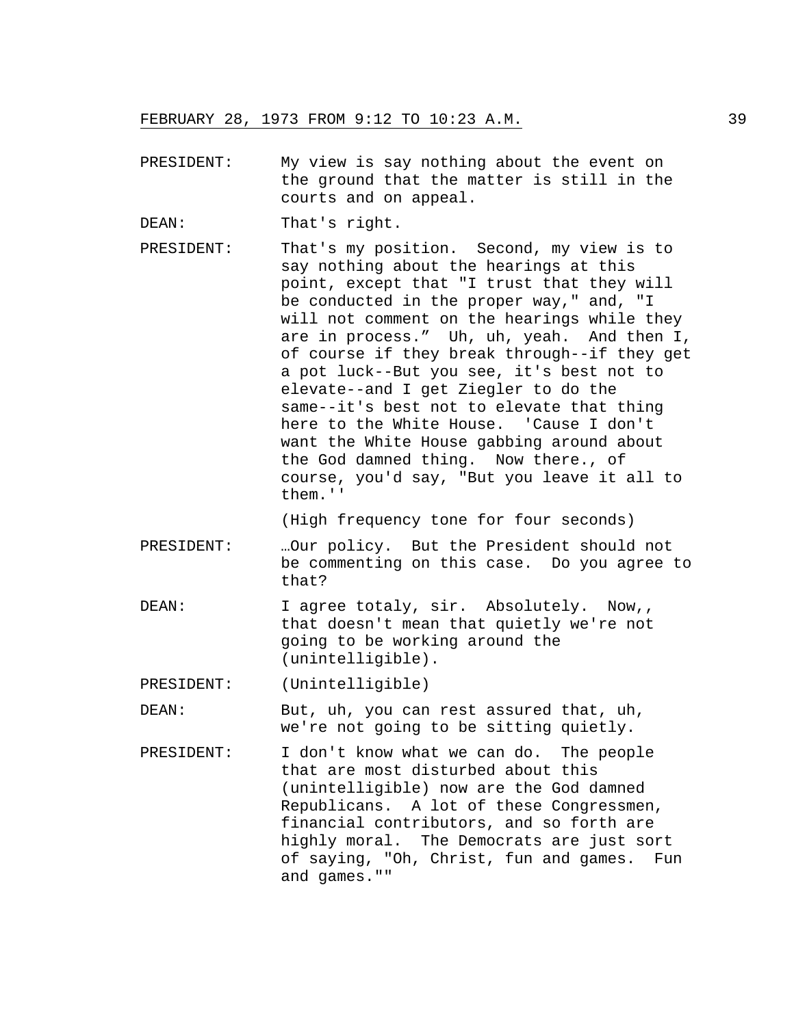- PRESIDENT: My view is say nothing about the event on the ground that the matter is still in the courts and on appeal.
- DEAN: That's right.
- PRESIDENT: That's my position. Second, my view is to say nothing about the hearings at this point, except that "I trust that they will be conducted in the proper way," and, "I will not comment on the hearings while they are in process." Uh, uh, yeah. And then I, of course if they break through--if they get a pot luck--But you see, it's best not to elevate--and I get Ziegler to do the same--it's best not to elevate that thing here to the White House. 'Cause I don't want the White House gabbing around about the God damned thing. Now there., of course, you'd say, "But you leave it all to them.''

(High frequency tone for four seconds)

- PRESIDENT: …Our policy. But the President should not be commenting on this case. Do you agree to that?
- DEAN: I agree totaly, sir. Absolutely. Now,, that doesn't mean that quietly we're not going to be working around the (unintelligible).

PRESIDENT: (Unintelligible)

- DEAN: But, uh, you can rest assured that, uh, we're not going to be sitting quietly.
- PRESIDENT: I don't know what we can do. The people that are most disturbed about this (unintelligible) now are the God damned Republicans. A lot of these Congressmen, financial contributors, and so forth are highly moral. The Democrats are just sort of saying, "Oh, Christ, fun and games. Fun and games.""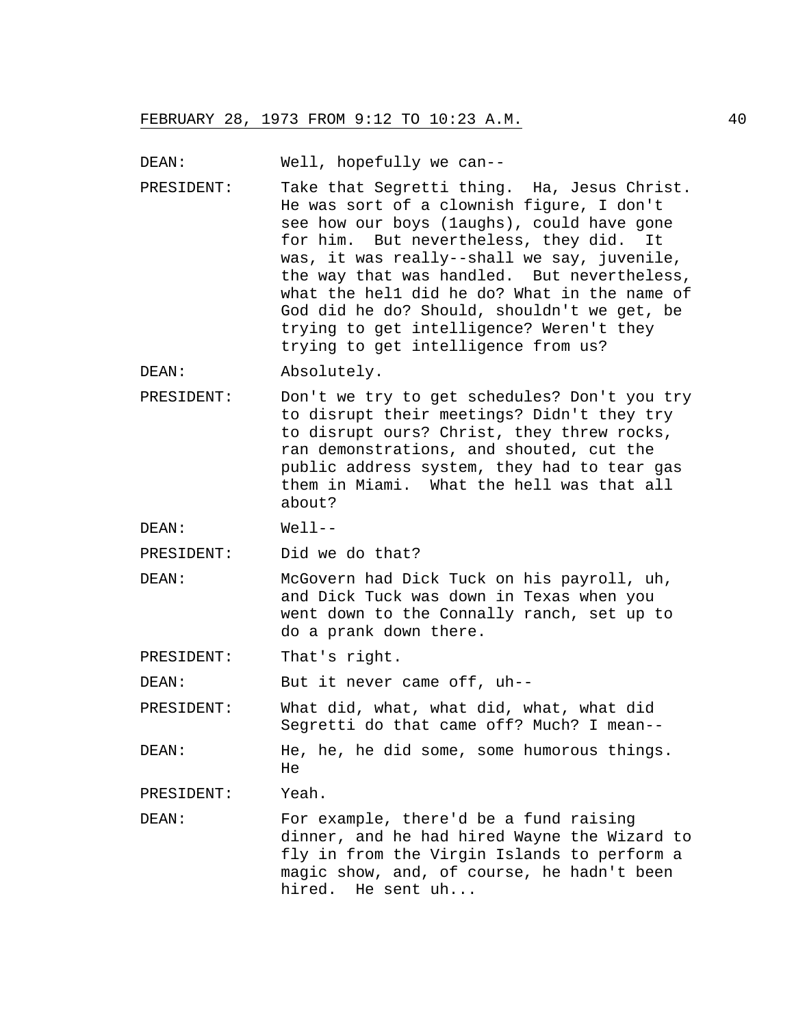DEAN: Well, hopefully we can--

PRESIDENT: Take that Segretti thing. Ha, Jesus Christ. He was sort of a clownish figure, I don't see how our boys (1aughs), could have gone for him. But nevertheless, they did. It was, it was really--shall we say, juvenile, the way that was handled. But nevertheless, what the hel1 did he do? What in the name of God did he do? Should, shouldn't we get, be trying to get intelligence? Weren't they trying to get intelligence from us?

DEAN: Absolutely.

PRESIDENT: Don't we try to get schedules? Don't you try to disrupt their meetings? Didn't they try to disrupt ours? Christ, they threw rocks, ran demonstrations, and shouted, cut the public address system, they had to tear gas them in Miami. What the hell was that all about?

DEAN: Well--

PRESIDENT: Did we do that?

DEAN: McGovern had Dick Tuck on his payroll, uh, and Dick Tuck was down in Texas when you went down to the Connally ranch, set up to do a prank down there.

PRESIDENT: That's right.

DEAN: But it never came off, uh--

PRESIDENT: What did, what, what did, what, what did Segretti do that came off? Much? I mean--

DEAN: He, he, he did some, some humorous things. He

PRESIDENT: Yeah.

DEAN: For example, there'd be a fund raising dinner, and he had hired Wayne the Wizard to fly in from the Virgin Islands to perform a magic show, and, of course, he hadn't been hired. He sent uh...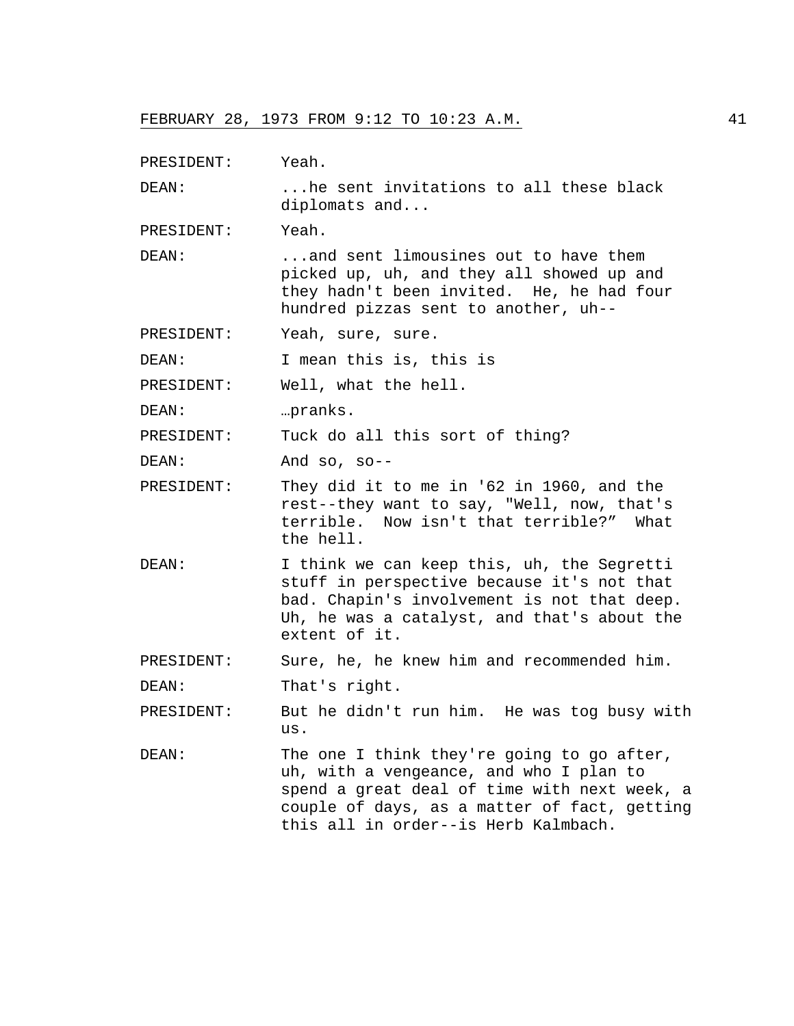| PRESIDENT: | Yeah.                                                                                                                                                                                                                         |
|------------|-------------------------------------------------------------------------------------------------------------------------------------------------------------------------------------------------------------------------------|
| DEAN:      | he sent invitations to all these black<br>diplomats and                                                                                                                                                                       |
| PRESIDENT: | Yeah.                                                                                                                                                                                                                         |
| DEAN:      | and sent limousines out to have them<br>picked up, uh, and they all showed up and<br>they hadn't been invited. He, he had four<br>hundred pizzas sent to another, uh--                                                        |
| PRESIDENT: | Yeah, sure, sure.                                                                                                                                                                                                             |
| DEAN:      | I mean this is, this is                                                                                                                                                                                                       |
| PRESIDENT: | Well, what the hell.                                                                                                                                                                                                          |
| DEAN:      | pranks.                                                                                                                                                                                                                       |
| PRESIDENT: | Tuck do all this sort of thing?                                                                                                                                                                                               |
| DEAN:      | And so, $so--$                                                                                                                                                                                                                |
| PRESIDENT: | They did it to me in '62 in 1960, and the<br>rest--they want to say, "Well, now, that's<br>terrible. Now isn't that terrible?" What<br>the hell.                                                                              |
| DEAN:      | I think we can keep this, uh, the Segretti<br>stuff in perspective because it's not that<br>bad. Chapin's involvement is not that deep.<br>Uh, he was a catalyst, and that's about the<br>extent of it.                       |
| PRESIDENT: | Sure, he, he knew him and recommended him.                                                                                                                                                                                    |
| DEAN:      | That's right.                                                                                                                                                                                                                 |
| PRESIDENT: | But he didn't run him. He was tog busy with<br>us.                                                                                                                                                                            |
| DEAN:      | The one I think they're going to go after,<br>uh, with a vengeance, and who I plan to<br>spend a great deal of time with next week, a<br>couple of days, as a matter of fact, getting<br>this all in order--is Herb Kalmbach. |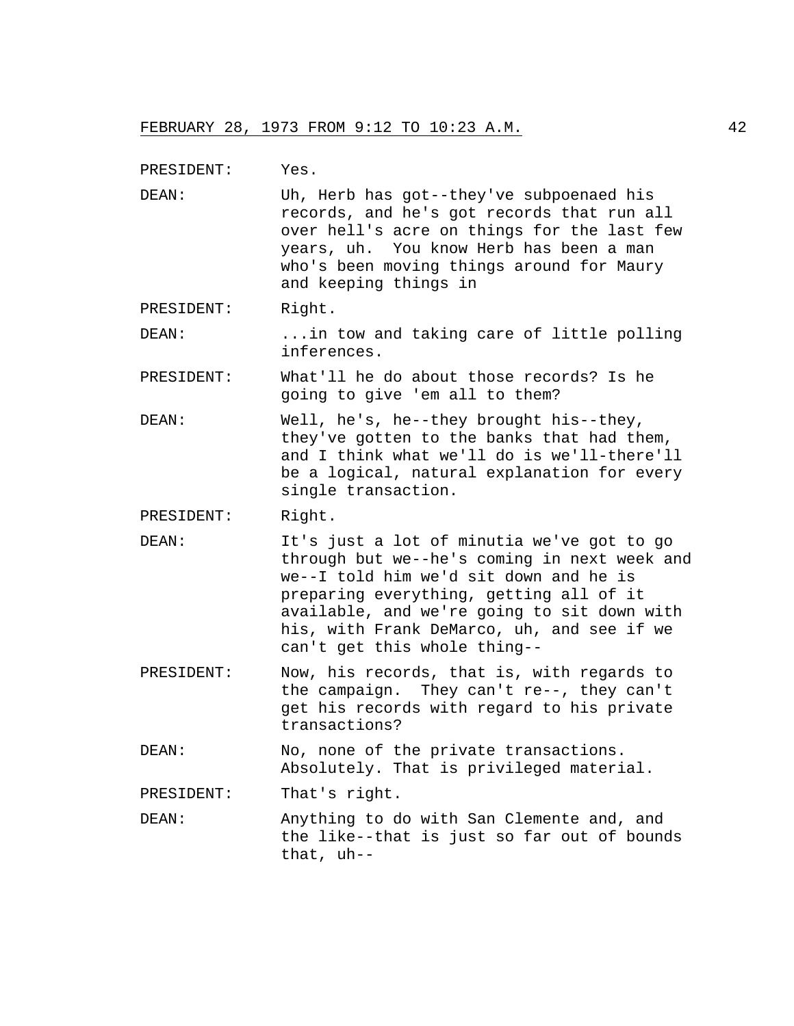PRESIDENT: Yes.

DEAN: Uh, Herb has got--they've subpoenaed his records, and he's got records that run all over hell's acre on things for the last few years, uh. You know Herb has been a man who's been moving things around for Maury and keeping things in

PRESIDENT: Right.

- DEAN: ...in tow and taking care of little polling inferences.
- PRESIDENT: What'll he do about those records? Is he going to give 'em all to them?
- DEAN: Well, he's, he--they brought his--they, they've gotten to the banks that had them, and I think what we'll do is we'll-there'll be a logical, natural explanation for every single transaction.

PRESIDENT: Right.

- DEAN: It's just a lot of minutia we've got to go through but we--he's coming in next week and we--I told him we'd sit down and he is preparing everything, getting all of it available, and we're going to sit down with his, with Frank DeMarco, uh, and see if we can't get this whole thing--
- PRESIDENT: Now, his records, that is, with regards to the campaign. They can't re--, they can't get his records with regard to his private transactions?
- DEAN: No, none of the private transactions. Absolutely. That is privileged material.

PRESIDENT: That's right.

DEAN: Anything to do with San Clemente and, and the like--that is just so far out of bounds that, uh--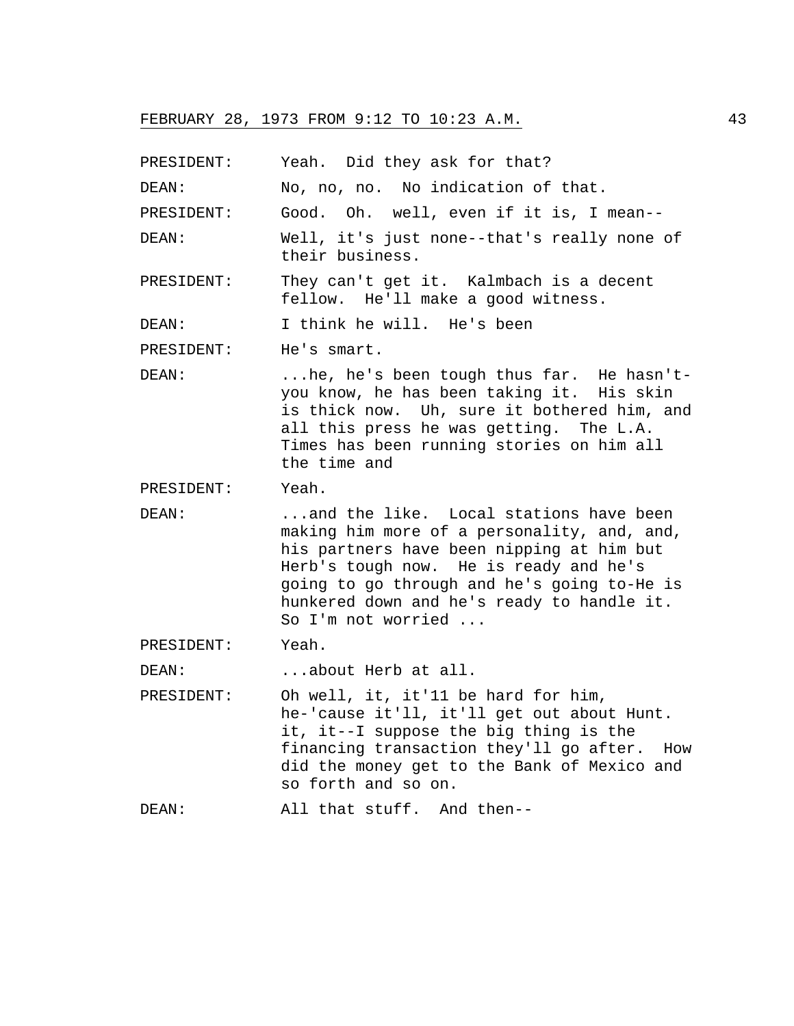PRESIDENT: Yeah. Did they ask for that? DEAN: No, no, no. No indication of that. PRESIDENT: Good. Oh. well, even if it is, I mean-- DEAN: Well, it's just none--that's really none of their business. PRESIDENT: They can't get it. Kalmbach is a decent fellow. He'll make a good witness. DEAN: I think he will. He's been PRESIDENT: He's smart. DEAN: ...he, he's been tough thus far. He hasn'tyou know, he has been taking it. His skin is thick now. Uh, sure it bothered him, and all this press he was getting. The L.A. Times has been running stories on him all the time and PRESIDENT: Yeah. DEAN: ...and the like. Local stations have been making him more of a personality, and, and, his partners have been nipping at him but Herb's tough now. He is ready and he's going to go through and he's going to-He is hunkered down and he's ready to handle it. So I'm not worried ... PRESIDENT: Yeah. DEAN: ...about Herb at all. PRESIDENT: Oh well, it, it'11 be hard for him, he-'cause it'll, it'll get out about Hunt. it, it--I suppose the big thing is the financing transaction they'll go after. How did the money get to the Bank of Mexico and so forth and so on. DEAN: All that stuff. And then--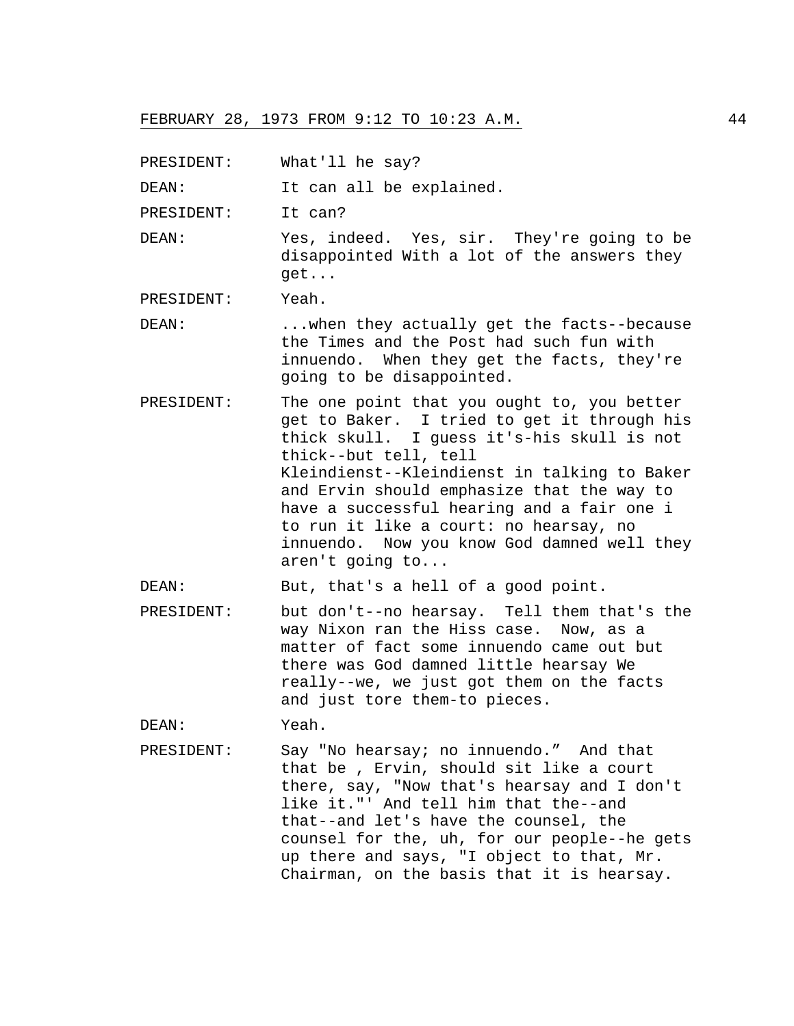PRESIDENT: What'll he say?

DEAN: It can all be explained.

PRESIDENT: It can?

DEAN: Yes, indeed. Yes, sir. They're going to be disappointed With a lot of the answers they get...

PRESIDENT: Yeah.

- DEAN: ...when they actually get the facts--because the Times and the Post had such fun with innuendo. When they get the facts, they're going to be disappointed.
- PRESIDENT: The one point that you ought to, you better get to Baker. I tried to get it through his thick skull. I guess it's-his skull is not thick--but tell, tell Kleindienst--Kleindienst in talking to Baker and Ervin should emphasize that the way to have a successful hearing and a fair one i to run it like a court: no hearsay, no innuendo. Now you know God damned well they aren't going to...

DEAN: But, that's a hell of a good point.

PRESIDENT: but don't--no hearsay. Tell them that's the way Nixon ran the Hiss case. Now, as a matter of fact some innuendo came out but there was God damned little hearsay We really--we, we just got them on the facts and just tore them-to pieces.

DEAN: Yeah.

PRESIDENT: Say "No hearsay; no innuendo." And that that be , Ervin, should sit like a court there, say, "Now that's hearsay and I don't like it."' And tell him that the--and that--and let's have the counsel, the counsel for the, uh, for our people--he gets up there and says, "I object to that, Mr. Chairman, on the basis that it is hearsay.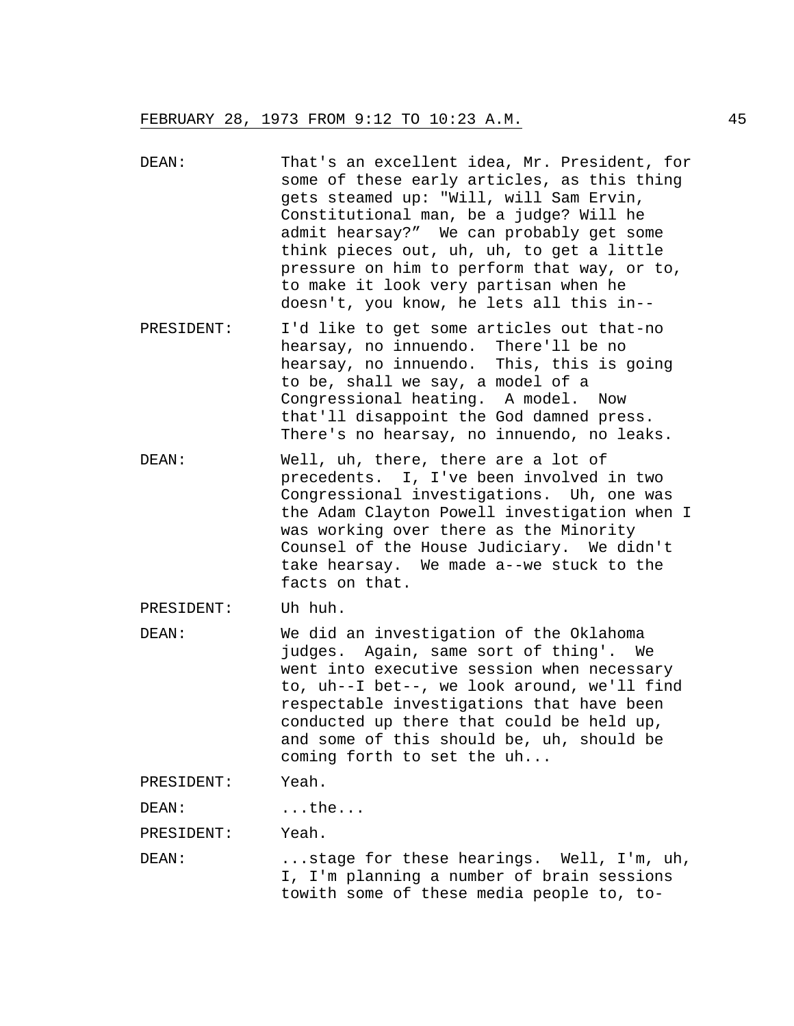- DEAN: That's an excellent idea, Mr. President, for some of these early articles, as this thing gets steamed up: "Will, will Sam Ervin, Constitutional man, be a judge? Will he admit hearsay?" We can probably get some think pieces out, uh, uh, to get a little pressure on him to perform that way, or to, to make it look very partisan when he doesn't, you know, he lets all this in--
- PRESIDENT: I'd like to get some articles out that-no hearsay, no innuendo. There'll be no hearsay, no innuendo. This, this is going to be, shall we say, a model of a Congressional heating. A model. Now that'll disappoint the God damned press. There's no hearsay, no innuendo, no leaks.
- DEAN: Well, uh, there, there are a lot of precedents. I, I've been involved in two Congressional investigations. Uh, one was the Adam Clayton Powell investigation when I was working over there as the Minority Counsel of the House Judiciary. We didn't take hearsay. We made a--we stuck to the facts on that.

PRESIDENT: Uh huh.

DEAN: We did an investigation of the Oklahoma judges. Again, same sort of thing'. We went into executive session when necessary to, uh--I bet--, we look around, we'll find respectable investigations that have been conducted up there that could be held up, and some of this should be, uh, should be coming forth to set the uh...

PRESIDENT: Yeah.

DEAN: ...the...

PRESIDENT: Yeah.

DEAN: ...stage for these hearings. Well, I'm, uh, I, I'm planning a number of brain sessions towith some of these media people to, to-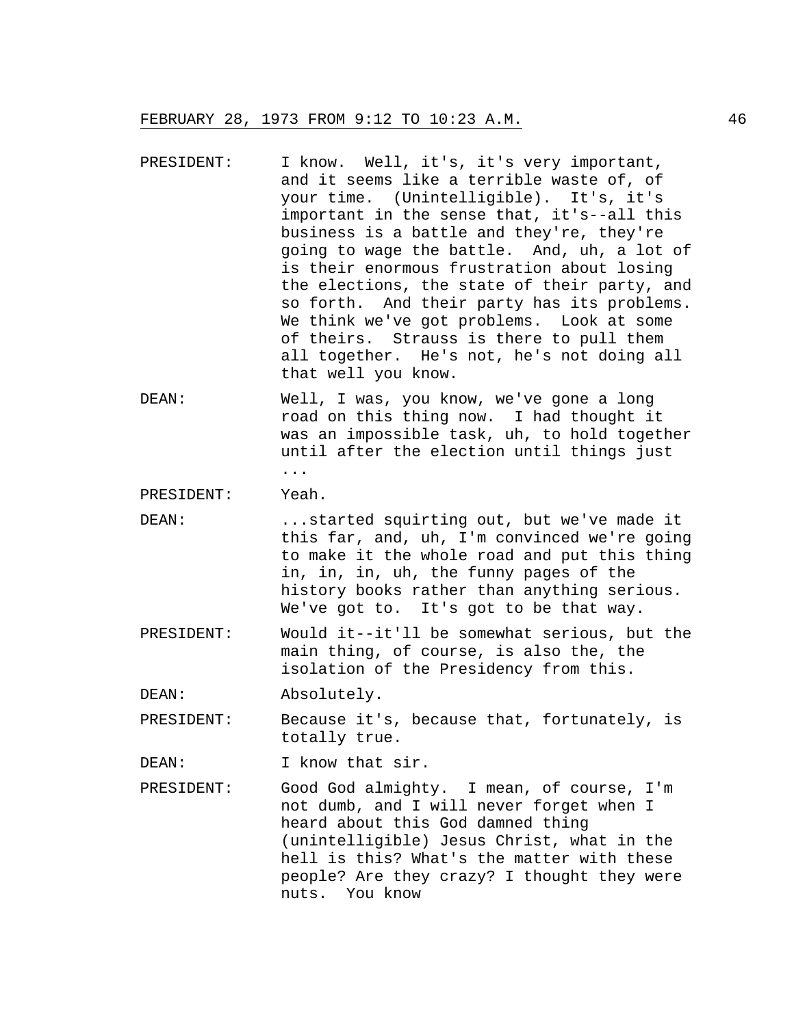- PRESIDENT: I know. Well, it's, it's very important, and it seems like a terrible waste of, of your time. (Unintelligible). It's, it's important in the sense that, it's--all this business is a battle and they're, they're going to wage the battle. And, uh, a lot of is their enormous frustration about losing the elections, the state of their party, and so forth. And their party has its problems. We think we've got problems. Look at some of theirs. Strauss is there to pull them all together. He's not, he's not doing all that well you know.
- DEAN: Well, I was, you know, we've gone a long road on this thing now. I had thought it was an impossible task, uh, to hold together until after the election until things just ...

PRESIDENT: Yeah.

- DEAN: ...started squirting out, but we've made it this far, and, uh, I'm convinced we're going to make it the whole road and put this thing in, in, in, uh, the funny pages of the history books rather than anything serious. We've got to. It's got to be that way.
- PRESIDENT: Would it--it'll be somewhat serious, but the main thing, of course, is also the, the isolation of the Presidency from this.
- DEAN: Absolutely.
- PRESIDENT: Because it's, because that, fortunately, is totally true.

DEAN: I know that sir.

PRESIDENT: Good God almighty. I mean, of course, I'm not dumb, and I will never forget when I heard about this God damned thing (unintelligible) Jesus Christ, what in the hell is this? What's the matter with these people? Are they crazy? I thought they were nuts. You know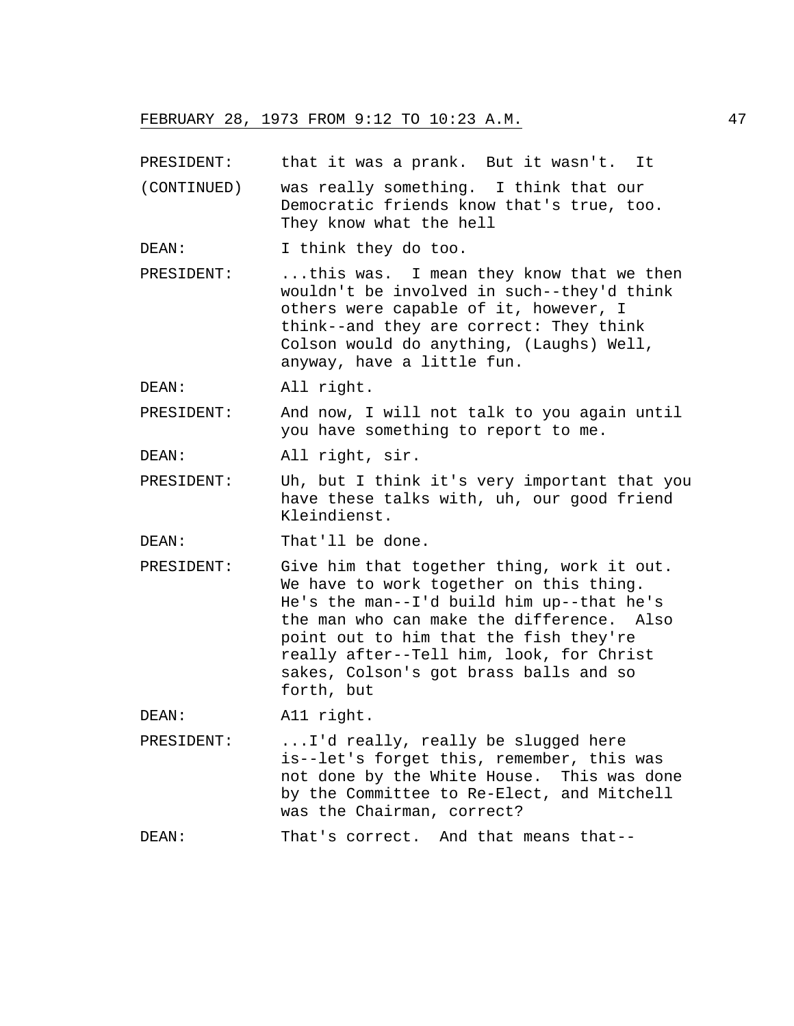PRESIDENT: that it was a prank. But it wasn't. It

- (CONTINUED) was really something. I think that our Democratic friends know that's true, too. They know what the hell
- DEAN: I think they do too.
- PRESIDENT: ...this was. I mean they know that we then wouldn't be involved in such--they'd think others were capable of it, however, I think--and they are correct: They think Colson would do anything, (Laughs) Well, anyway, have a little fun.

DEAN: All right.

PRESIDENT: And now, I will not talk to you again until you have something to report to me.

DEAN: All right, sir.

PRESIDENT: Uh, but I think it's very important that you have these talks with, uh, our good friend Kleindienst.

DEAN: That'll be done.

PRESIDENT: Give him that together thing, work it out. We have to work together on this thing. He's the man--I'd build him up--that he's the man who can make the difference. Also point out to him that the fish they're really after--Tell him, look, for Christ sakes, Colson's got brass balls and so forth, but

DEAN: All right.

PRESIDENT: ...I'd really, really be slugged here is--let's forget this, remember, this was not done by the White House. This was done by the Committee to Re-Elect, and Mitchell was the Chairman, correct?

DEAN: That's correct. And that means that--